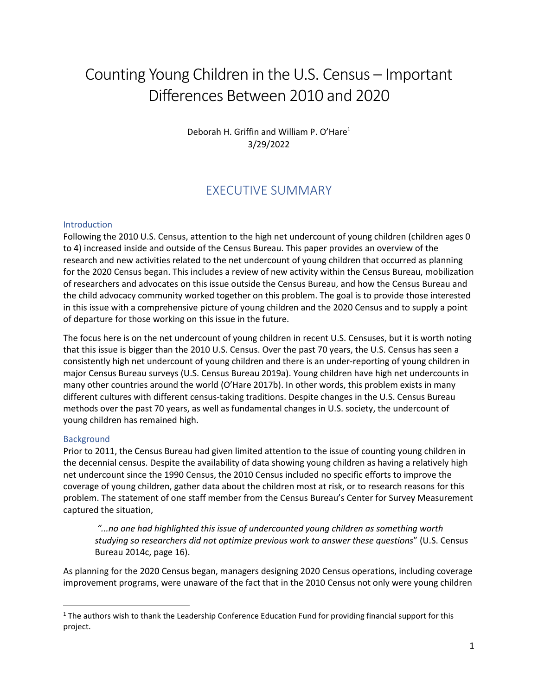# Counting Young Children in the U.S. Census – Important Differences Between 2010 and 2020

Deborah H. Griffin and William P. O'Hare<sup>1</sup> 3/29/2022

# EXECUTIVE SUMMARY

#### **Introduction**

Following the 2010 U.S. Census, attention to the high net undercount of young children (children ages 0 to 4) increased inside and outside of the Census Bureau. This paper provides an overview of the research and new activities related to the net undercount of young children that occurred as planning for the 2020 Census began. This includes a review of new activity within the Census Bureau, mobilization of researchers and advocates on this issue outside the Census Bureau, and how the Census Bureau and the child advocacy community worked together on this problem. The goal is to provide those interested in this issue with a comprehensive picture of young children and the 2020 Census and to supply a point of departure for those working on this issue in the future.

The focus here is on the net undercount of young children in recent U.S. Censuses, but it is worth noting that this issue is bigger than the 2010 U.S. Census. Over the past 70 years, the U.S. Census has seen a consistently high net undercount of young children and there is an under-reporting of young children in major Census Bureau surveys (U.S. Census Bureau 2019a). Young children have high net undercounts in many other countries around the world (O'Hare 2017b). In other words, this problem exists in many different cultures with different census-taking traditions. Despite changes in the U.S. Census Bureau methods over the past 70 years, as well as fundamental changes in U.S. society, the undercount of young children has remained high.

#### Background

Prior to 2011, the Census Bureau had given limited attention to the issue of counting young children in the decennial census. Despite the availability of data showing young children as having a relatively high net undercount since the 1990 Census, the 2010 Census included no specific efforts to improve the coverage of young children, gather data about the children most at risk, or to research reasons for this problem. The statement of one staff member from the Census Bureau's Center for Survey Measurement captured the situation,

*"...no one had highlighted this issue of undercounted young children as something worth studying so researchers did not optimize previous work to answer these questions*" (U.S. Census Bureau 2014c, page 16).

As planning for the 2020 Census began, managers designing 2020 Census operations, including coverage improvement programs, were unaware of the fact that in the 2010 Census not only were young children

 $1$  The authors wish to thank the Leadership Conference Education Fund for providing financial support for this project.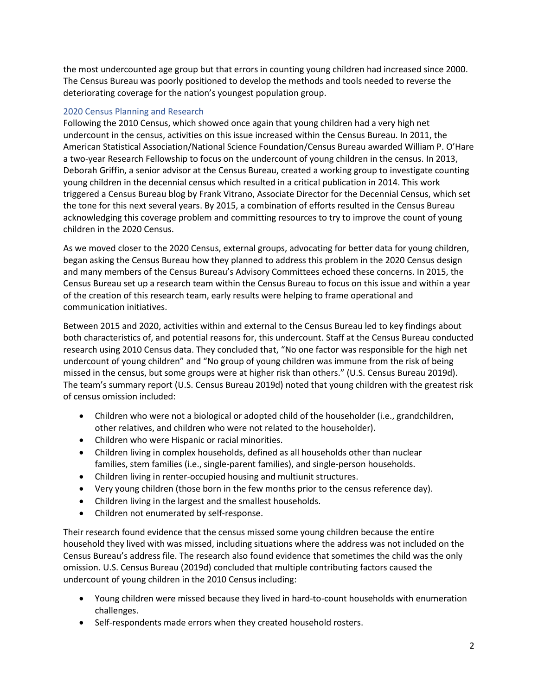the most undercounted age group but that errors in counting young children had increased since 2000. The Census Bureau was poorly positioned to develop the methods and tools needed to reverse the deteriorating coverage for the nation's youngest population group.

### 2020 Census Planning and Research

Following the 2010 Census, which showed once again that young children had a very high net undercount in the census, activities on this issue increased within the Census Bureau. In 2011, the American Statistical Association/National Science Foundation/Census Bureau awarded William P. O'Hare a two-year Research Fellowship to focus on the undercount of young children in the census. In 2013, Deborah Griffin, a senior advisor at the Census Bureau, created a working group to investigate counting young children in the decennial census which resulted in a critical publication in 2014. This work triggered a Census Bureau blog by Frank Vitrano, Associate Director for the Decennial Census, which set the tone for this next several years. By 2015, a combination of efforts resulted in the Census Bureau acknowledging this coverage problem and committing resources to try to improve the count of young children in the 2020 Census.

As we moved closer to the 2020 Census, external groups, advocating for better data for young children, began asking the Census Bureau how they planned to address this problem in the 2020 Census design and many members of the Census Bureau's Advisory Committees echoed these concerns. In 2015, the Census Bureau set up a research team within the Census Bureau to focus on this issue and within a year of the creation of this research team, early results were helping to frame operational and communication initiatives.

Between 2015 and 2020, activities within and external to the Census Bureau led to key findings about both characteristics of, and potential reasons for, this undercount. Staff at the Census Bureau conducted research using 2010 Census data. They concluded that, "No one factor was responsible for the high net undercount of young children" and "No group of young children was immune from the risk of being missed in the census, but some groups were at higher risk than others." (U.S. Census Bureau 2019d). The team's summary report (U.S. Census Bureau 2019d) noted that young children with the greatest risk of census omission included:

- Children who were not a biological or adopted child of the householder (i.e., grandchildren, other relatives, and children who were not related to the householder).
- Children who were Hispanic or racial minorities.
- Children living in complex households, defined as all households other than nuclear families, stem families (i.e., single-parent families), and single-person households.
- Children living in renter-occupied housing and multiunit structures.
- Very young children (those born in the few months prior to the census reference day).
- Children living in the largest and the smallest households.
- Children not enumerated by self-response.

Their research found evidence that the census missed some young children because the entire household they lived with was missed, including situations where the address was not included on the Census Bureau's address file. The research also found evidence that sometimes the child was the only omission. U.S. Census Bureau (2019d) concluded that multiple contributing factors caused the undercount of young children in the 2010 Census including:

- Young children were missed because they lived in hard-to-count households with enumeration challenges.
- Self-respondents made errors when they created household rosters.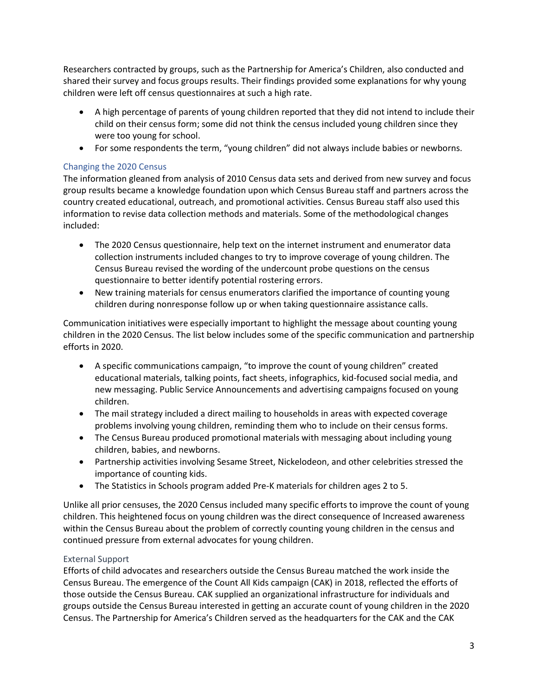Researchers contracted by groups, such as the Partnership for America's Children, also conducted and shared their survey and focus groups results. Their findings provided some explanations for why young children were left off census questionnaires at such a high rate.

- A high percentage of parents of young children reported that they did not intend to include their child on their census form; some did not think the census included young children since they were too young for school.
- For some respondents the term, "young children" did not always include babies or newborns.

## Changing the 2020 Census

The information gleaned from analysis of 2010 Census data sets and derived from new survey and focus group results became a knowledge foundation upon which Census Bureau staff and partners across the country created educational, outreach, and promotional activities. Census Bureau staff also used this information to revise data collection methods and materials. Some of the methodological changes included:

- The 2020 Census questionnaire, help text on the internet instrument and enumerator data collection instruments included changes to try to improve coverage of young children. The Census Bureau revised the wording of the undercount probe questions on the census questionnaire to better identify potential rostering errors.
- New training materials for census enumerators clarified the importance of counting young children during nonresponse follow up or when taking questionnaire assistance calls.

Communication initiatives were especially important to highlight the message about counting young children in the 2020 Census. The list below includes some of the specific communication and partnership efforts in 2020.

- A specific communications campaign, "to improve the count of young children" created educational materials, talking points, fact sheets, infographics, kid-focused social media, and new messaging. Public Service Announcements and advertising campaigns focused on young children.
- The mail strategy included a direct mailing to households in areas with expected coverage problems involving young children, reminding them who to include on their census forms.
- The Census Bureau produced promotional materials with messaging about including young children, babies, and newborns.
- Partnership activities involving Sesame Street, Nickelodeon, and other celebrities stressed the importance of counting kids.
- The Statistics in Schools program added Pre-K materials for children ages 2 to 5.

Unlike all prior censuses, the 2020 Census included many specific efforts to improve the count of young children. This heightened focus on young children was the direct consequence of Increased awareness within the Census Bureau about the problem of correctly counting young children in the census and continued pressure from external advocates for young children.

## External Support

Efforts of child advocates and researchers outside the Census Bureau matched the work inside the Census Bureau. The emergence of the Count All Kids campaign (CAK) in 2018, reflected the efforts of those outside the Census Bureau. CAK supplied an organizational infrastructure for individuals and groups outside the Census Bureau interested in getting an accurate count of young children in the 2020 Census. The Partnership for America's Children served as the headquarters for the CAK and the CAK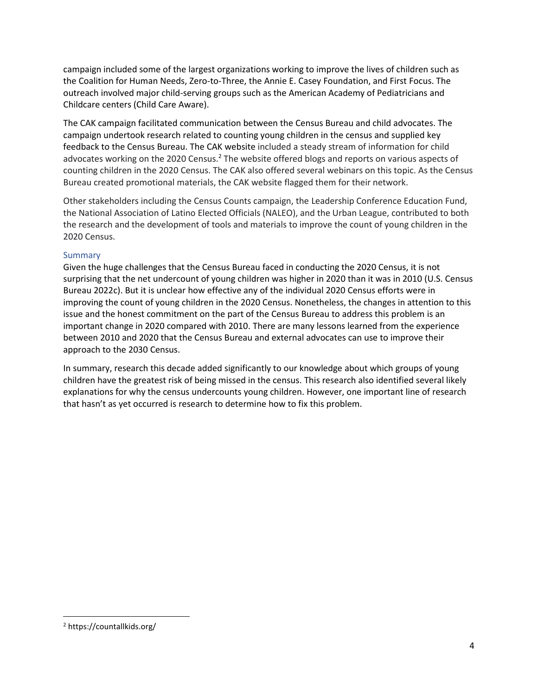campaign included some of the largest organizations working to improve the lives of children such as the Coalition for Human Needs, Zero-to-Three, the Annie E. Casey Foundation, and First Focus. The outreach involved major child-serving groups such as the American Academy of Pediatricians and Childcare centers (Child Care Aware).

The CAK campaign facilitated communication between the Census Bureau and child advocates. The campaign undertook research related to counting young children in the census and supplied key feedback to the Census Bureau. The CAK website included a steady stream of information for child advocates working on the 2020 Census.<sup>2</sup> The website offered blogs and reports on various aspects of counting children in the 2020 Census. The CAK also offered several webinars on this topic. As the Census Bureau created promotional materials, the CAK website flagged them for their network.

Other stakeholders including the Census Counts campaign, the Leadership Conference Education Fund, the National Association of Latino Elected Officials (NALEO), and the Urban League, contributed to both the research and the development of tools and materials to improve the count of young children in the 2020 Census.

### Summary

Given the huge challenges that the Census Bureau faced in conducting the 2020 Census, it is not surprising that the net undercount of young children was higher in 2020 than it was in 2010 (U.S. Census Bureau 2022c). But it is unclear how effective any of the individual 2020 Census efforts were in improving the count of young children in the 2020 Census. Nonetheless, the changes in attention to this issue and the honest commitment on the part of the Census Bureau to address this problem is an important change in 2020 compared with 2010. There are many lessons learned from the experience between 2010 and 2020 that the Census Bureau and external advocates can use to improve their approach to the 2030 Census.

In summary, research this decade added significantly to our knowledge about which groups of young children have the greatest risk of being missed in the census. This research also identified several likely explanations for why the census undercounts young children. However, one important line of research that hasn't as yet occurred is research to determine how to fix this problem.

<sup>2</sup> https://countallkids.org/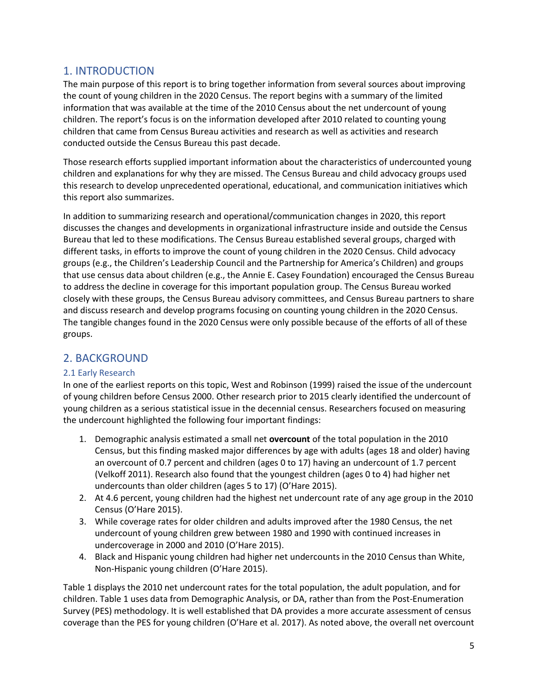# 1. INTRODUCTION

The main purpose of this report is to bring together information from several sources about improving the count of young children in the 2020 Census. The report begins with a summary of the limited information that was available at the time of the 2010 Census about the net undercount of young children. The report's focus is on the information developed after 2010 related to counting young children that came from Census Bureau activities and research as well as activities and research conducted outside the Census Bureau this past decade.

Those research efforts supplied important information about the characteristics of undercounted young children and explanations for why they are missed. The Census Bureau and child advocacy groups used this research to develop unprecedented operational, educational, and communication initiatives which this report also summarizes.

In addition to summarizing research and operational/communication changes in 2020, this report discusses the changes and developments in organizational infrastructure inside and outside the Census Bureau that led to these modifications. The Census Bureau established several groups, charged with different tasks, in efforts to improve the count of young children in the 2020 Census. Child advocacy groups (e.g., the Children's Leadership Council and the Partnership for America's Children) and groups that use census data about children (e.g., the Annie E. Casey Foundation) encouraged the Census Bureau to address the decline in coverage for this important population group. The Census Bureau worked closely with these groups, the Census Bureau advisory committees, and Census Bureau partners to share and discuss research and develop programs focusing on counting young children in the 2020 Census. The tangible changes found in the 2020 Census were only possible because of the efforts of all of these groups.

# 2. BACKGROUND

## 2.1 Early Research

In one of the earliest reports on this topic, West and Robinson (1999) raised the issue of the undercount of young children before Census 2000. Other research prior to 2015 clearly identified the undercount of young children as a serious statistical issue in the decennial census. Researchers focused on measuring the undercount highlighted the following four important findings:

- 1. Demographic analysis estimated a small net **overcount** of the total population in the 2010 Census, but this finding masked major differences by age with adults (ages 18 and older) having an overcount of 0.7 percent and children (ages 0 to 17) having an undercount of 1.7 percent (Velkoff 2011). Research also found that the youngest children (ages 0 to 4) had higher net undercounts than older children (ages 5 to 17) (O'Hare 2015).
- 2. At 4.6 percent, young children had the highest net undercount rate of any age group in the 2010 Census (O'Hare 2015).
- 3. While coverage rates for older children and adults improved after the 1980 Census, the net undercount of young children grew between 1980 and 1990 with continued increases in undercoverage in 2000 and 2010 (O'Hare 2015).
- 4. Black and Hispanic young children had higher net undercounts in the 2010 Census than White, Non-Hispanic young children (O'Hare 2015).

Table 1 displays the 2010 net undercount rates for the total population, the adult population, and for children. Table 1 uses data from Demographic Analysis, or DA, rather than from the Post-Enumeration Survey (PES) methodology. It is well established that DA provides a more accurate assessment of census coverage than the PES for young children (O'Hare et al. 2017). As noted above, the overall net overcount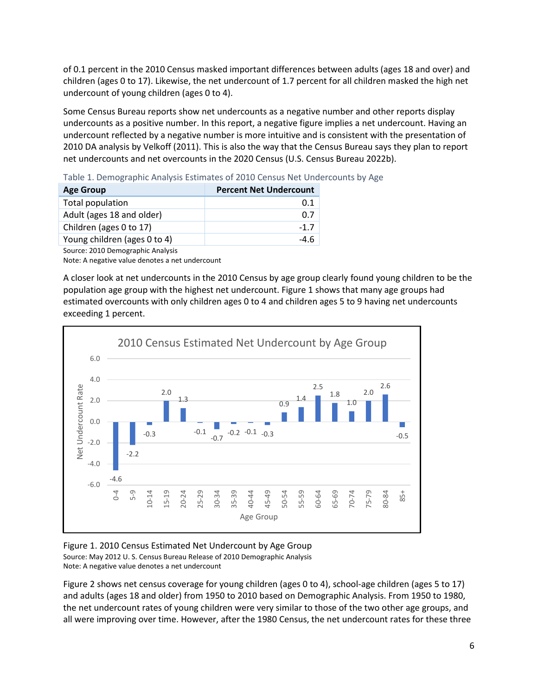of 0.1 percent in the 2010 Census masked important differences between adults (ages 18 and over) and children (ages 0 to 17). Likewise, the net undercount of 1.7 percent for all children masked the high net undercount of young children (ages 0 to 4).

Some Census Bureau reports show net undercounts as a negative number and other reports display undercounts as a positive number. In this report, a negative figure implies a net undercount. Having an undercount reflected by a negative number is more intuitive and is consistent with the presentation of 2010 DA analysis by Velkoff (2011). This is also the way that the Census Bureau says they plan to report net undercounts and net overcounts in the 2020 Census (U.S. Census Bureau 2022b).

Table 1. Demographic Analysis Estimates of 2010 Census Net Undercounts by Age

| <b>Age Group</b>             | <b>Percent Net Undercount</b> |
|------------------------------|-------------------------------|
| Total population             | 0.1                           |
| Adult (ages 18 and older)    | 0.7                           |
| Children (ages 0 to 17)      | $-1.7$                        |
| Young children (ages 0 to 4) | -4.6                          |

Source: 2010 Demographic Analysis

Note: A negative value denotes a net undercount

A closer look at net undercounts in the 2010 Census by age group clearly found young children to be the population age group with the highest net undercount. Figure 1 shows that many age groups had estimated overcounts with only children ages 0 to 4 and children ages 5 to 9 having net undercounts exceeding 1 percent.



#### Figure 1. 2010 Census Estimated Net Undercount by Age Group Source: May 2012 U. S. Census Bureau Release of 2010 Demographic Analysis Note: A negative value denotes a net undercount

Figure 2 shows net census coverage for young children (ages 0 to 4), school-age children (ages 5 to 17) and adults (ages 18 and older) from 1950 to 2010 based on Demographic Analysis. From 1950 to 1980, the net undercount rates of young children were very similar to those of the two other age groups, and all were improving over time. However, after the 1980 Census, the net undercount rates for these three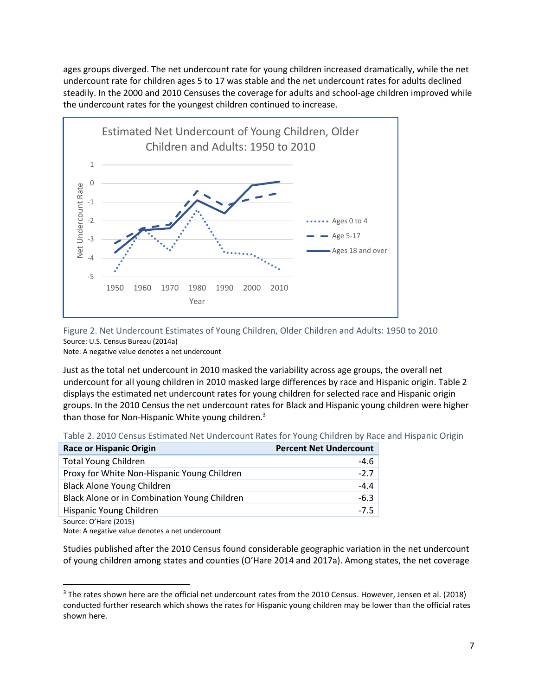ages groups diverged. The net undercount rate for young children increased dramatically, while the net undercount rate for children ages 5 to 17 was stable and the net undercount rates for adults declined steadily. In the 2000 and 2010 Censuses the coverage for adults and school-age children improved while the undercount rates for the youngest children continued to increase.



Figure 2. Net Undercount Estimates of Young Children, Older Children and Adults: 1950 to 2010 Source: U.S. Census Bureau (2014a)

Note: A negative value denotes a net undercount

Just as the total net undercount in 2010 masked the variability across age groups, the overall net undercount for all young children in 2010 masked large differences by race and Hispanic origin. Table 2 displays the estimated net undercount rates for young children for selected race and Hispanic origin groups. In the 2010 Census the net undercount rates for Black and Hispanic young children were higher than those for Non-Hispanic White young children.<sup>3</sup>

| <b>Race or Hispanic Origin</b>               | <b>Percent Net Undercount</b> |
|----------------------------------------------|-------------------------------|
| <b>Total Young Children</b>                  | $-4.6$                        |
| Proxy for White Non-Hispanic Young Children  | $-2.7$                        |
| <b>Black Alone Young Children</b>            | $-4.4$                        |
| Black Alone or in Combination Young Children | $-6.3$                        |
| Hispanic Young Children                      | $-7.5$                        |
|                                              |                               |

Source: O'Hare (2015)

Note: A negative value denotes a net undercount

Studies published after the 2010 Census found considerable geographic variation in the net undercount of young children among states and counties (O'Hare 2014 and 2017a). Among states, the net coverage

<sup>&</sup>lt;sup>3</sup> The rates shown here are the official net undercount rates from the 2010 Census. However, Jensen et al. (2018) conducted further research which shows the rates for Hispanic young children may be lower than the official rates shown here.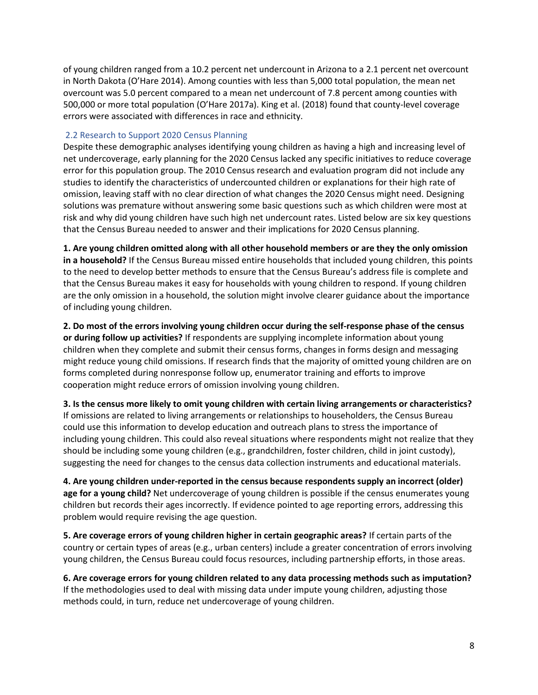of young children ranged from a 10.2 percent net undercount in Arizona to a 2.1 percent net overcount in North Dakota (O'Hare 2014). Among counties with less than 5,000 total population, the mean net overcount was 5.0 percent compared to a mean net undercount of 7.8 percent among counties with 500,000 or more total population (O'Hare 2017a). King et al. (2018) found that county-level coverage errors were associated with differences in race and ethnicity.

### 2.2 Research to Support 2020 Census Planning

Despite these demographic analyses identifying young children as having a high and increasing level of net undercoverage, early planning for the 2020 Census lacked any specific initiatives to reduce coverage error for this population group. The 2010 Census research and evaluation program did not include any studies to identify the characteristics of undercounted children or explanations for their high rate of omission, leaving staff with no clear direction of what changes the 2020 Census might need. Designing solutions was premature without answering some basic questions such as which children were most at risk and why did young children have such high net undercount rates. Listed below are six key questions that the Census Bureau needed to answer and their implications for 2020 Census planning.

**1. Are young children omitted along with all other household members or are they the only omission in a household?** If the Census Bureau missed entire households that included young children, this points to the need to develop better methods to ensure that the Census Bureau's address file is complete and that the Census Bureau makes it easy for households with young children to respond. If young children are the only omission in a household, the solution might involve clearer guidance about the importance of including young children.

**2. Do most of the errors involving young children occur during the self-response phase of the census or during follow up activities?** If respondents are supplying incomplete information about young children when they complete and submit their census forms, changes in forms design and messaging might reduce young child omissions. If research finds that the majority of omitted young children are on forms completed during nonresponse follow up, enumerator training and efforts to improve cooperation might reduce errors of omission involving young children.

**3. Is the census more likely to omit young children with certain living arrangements or characteristics?** If omissions are related to living arrangements or relationships to householders, the Census Bureau could use this information to develop education and outreach plans to stress the importance of including young children. This could also reveal situations where respondents might not realize that they should be including some young children (e.g., grandchildren, foster children, child in joint custody), suggesting the need for changes to the census data collection instruments and educational materials.

**4. Are young children under-reported in the census because respondents supply an incorrect (older) age for a young child?** Net undercoverage of young children is possible if the census enumerates young children but records their ages incorrectly. If evidence pointed to age reporting errors, addressing this problem would require revising the age question.

**5. Are coverage errors of young children higher in certain geographic areas?** If certain parts of the country or certain types of areas (e.g., urban centers) include a greater concentration of errors involving young children, the Census Bureau could focus resources, including partnership efforts, in those areas.

**6. Are coverage errors for young children related to any data processing methods such as imputation?** If the methodologies used to deal with missing data under impute young children, adjusting those methods could, in turn, reduce net undercoverage of young children.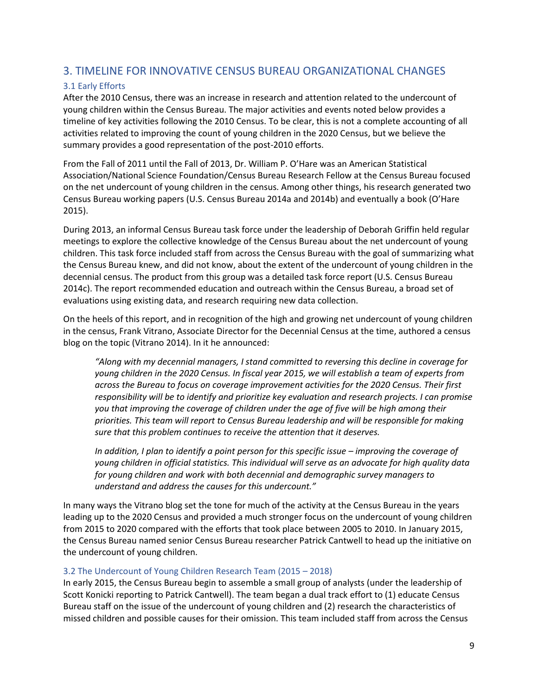# 3. TIMELINE FOR INNOVATIVE CENSUS BUREAU ORGANIZATIONAL CHANGES

## 3.1 Early Efforts

After the 2010 Census, there was an increase in research and attention related to the undercount of young children within the Census Bureau. The major activities and events noted below provides a timeline of key activities following the 2010 Census. To be clear, this is not a complete accounting of all activities related to improving the count of young children in the 2020 Census, but we believe the summary provides a good representation of the post-2010 efforts.

From the Fall of 2011 until the Fall of 2013, Dr. William P. O'Hare was an American Statistical Association/National Science Foundation/Census Bureau Research Fellow at the Census Bureau focused on the net undercount of young children in the census. Among other things, his research generated two Census Bureau working papers (U.S. Census Bureau 2014a and 2014b) and eventually a book (O'Hare 2015).

During 2013, an informal Census Bureau task force under the leadership of Deborah Griffin held regular meetings to explore the collective knowledge of the Census Bureau about the net undercount of young children. This task force included staff from across the Census Bureau with the goal of summarizing what the Census Bureau knew, and did not know, about the extent of the undercount of young children in the decennial census. The product from this group was a detailed task force report (U.S. Census Bureau 2014c). The report recommended education and outreach within the Census Bureau, a broad set of evaluations using existing data, and research requiring new data collection.

On the heels of this report, and in recognition of the high and growing net undercount of young children in the census, Frank Vitrano, Associate Director for the Decennial Census at the time, authored a census blog on the topic (Vitrano 2014). In it he announced:

*"Along with my decennial managers, I stand committed to reversing this decline in coverage for young children in the 2020 Census. In fiscal year 2015, we will establish a team of experts from across the Bureau to focus on coverage improvement activities for the 2020 Census. Their first responsibility will be to identify and prioritize key evaluation and research projects. I can promise you that improving the coverage of children under the age of five will be high among their priorities. This team will report to Census Bureau leadership and will be responsible for making sure that this problem continues to receive the attention that it deserves.*

*In addition, I plan to identify a point person for this specific issue – improving the coverage of young children in official statistics. This individual will serve as an advocate for high quality data for young children and work with both decennial and demographic survey managers to understand and address the causes for this undercount."*

In many ways the Vitrano blog set the tone for much of the activity at the Census Bureau in the years leading up to the 2020 Census and provided a much stronger focus on the undercount of young children from 2015 to 2020 compared with the efforts that took place between 2005 to 2010. In January 2015, the Census Bureau named senior Census Bureau researcher Patrick Cantwell to head up the initiative on the undercount of young children.

#### 3.2 The Undercount of Young Children Research Team (2015 – 2018)

In early 2015, the Census Bureau begin to assemble a small group of analysts (under the leadership of Scott Konicki reporting to Patrick Cantwell). The team began a dual track effort to (1) educate Census Bureau staff on the issue of the undercount of young children and (2) research the characteristics of missed children and possible causes for their omission. This team included staff from across the Census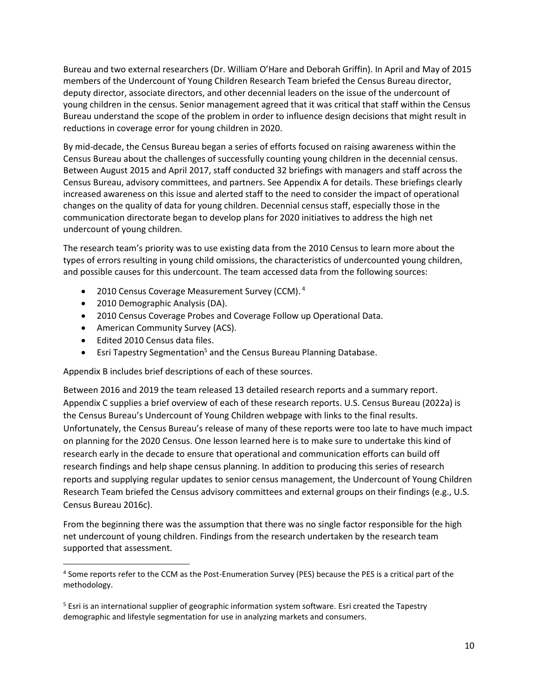Bureau and two external researchers (Dr. William O'Hare and Deborah Griffin). In April and May of 2015 members of the Undercount of Young Children Research Team briefed the Census Bureau director, deputy director, associate directors, and other decennial leaders on the issue of the undercount of young children in the census. Senior management agreed that it was critical that staff within the Census Bureau understand the scope of the problem in order to influence design decisions that might result in reductions in coverage error for young children in 2020.

By mid-decade, the Census Bureau began a series of efforts focused on raising awareness within the Census Bureau about the challenges of successfully counting young children in the decennial census. Between August 2015 and April 2017, staff conducted 32 briefings with managers and staff across the Census Bureau, advisory committees, and partners. See Appendix A for details. These briefings clearly increased awareness on this issue and alerted staff to the need to consider the impact of operational changes on the quality of data for young children. Decennial census staff, especially those in the communication directorate began to develop plans for 2020 initiatives to address the high net undercount of young children.

The research team's priority was to use existing data from the 2010 Census to learn more about the types of errors resulting in young child omissions, the characteristics of undercounted young children, and possible causes for this undercount. The team accessed data from the following sources:

- 2010 Census Coverage Measurement Survey (CCM).<sup>4</sup>
- 2010 Demographic Analysis (DA).
- 2010 Census Coverage Probes and Coverage Follow up Operational Data.
- American Community Survey (ACS).
- Edited 2010 Census data files.
- Esri Tapestry Segmentation<sup>5</sup> and the Census Bureau Planning Database.

Appendix B includes brief descriptions of each of these sources.

Between 2016 and 2019 the team released 13 detailed research reports and a summary report. Appendix C supplies a brief overview of each of these research reports. U.S. Census Bureau (2022a) is the Census Bureau's Undercount of Young Children webpage with links to the final results. Unfortunately, the Census Bureau's release of many of these reports were too late to have much impact on planning for the 2020 Census. One lesson learned here is to make sure to undertake this kind of research early in the decade to ensure that operational and communication efforts can build off research findings and help shape census planning. In addition to producing this series of research reports and supplying regular updates to senior census management, the Undercount of Young Children Research Team briefed the Census advisory committees and external groups on their findings (e.g., U.S. Census Bureau 2016c).

From the beginning there was the assumption that there was no single factor responsible for the high net undercount of young children. Findings from the research undertaken by the research team supported that assessment.

<sup>&</sup>lt;sup>4</sup> Some reports refer to the CCM as the Post-Enumeration Survey (PES) because the PES is a critical part of the methodology.

<sup>&</sup>lt;sup>5</sup> Esri is an international supplier of geographic information system software. Esri created the Tapestry demographic and lifestyle segmentation for use in analyzing markets and consumers.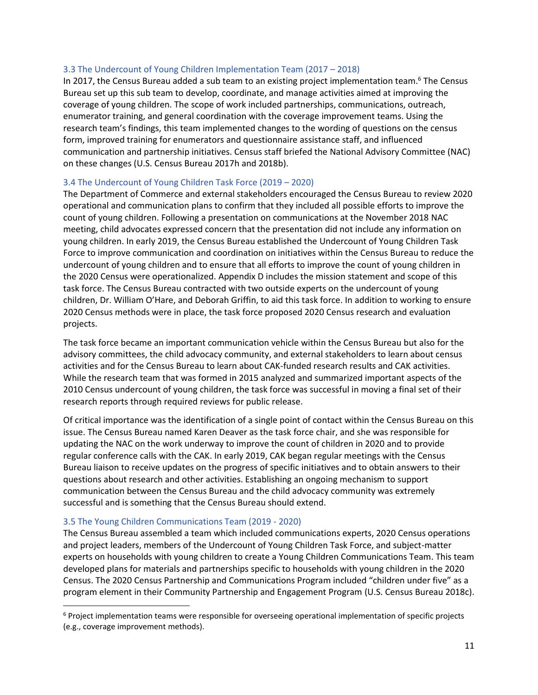#### 3.3 The Undercount of Young Children Implementation Team (2017 – 2018)

In 2017, the Census Bureau added a sub team to an existing project implementation team.<sup>6</sup> The Census Bureau set up this sub team to develop, coordinate, and manage activities aimed at improving the coverage of young children. The scope of work included partnerships, communications, outreach, enumerator training, and general coordination with the coverage improvement teams. Using the research team's findings, this team implemented changes to the wording of questions on the census form, improved training for enumerators and questionnaire assistance staff, and influenced communication and partnership initiatives. Census staff briefed the National Advisory Committee (NAC) on these changes (U.S. Census Bureau 2017h and 2018b).

#### 3.4 The Undercount of Young Children Task Force (2019 – 2020)

The Department of Commerce and external stakeholders encouraged the Census Bureau to review 2020 operational and communication plans to confirm that they included all possible efforts to improve the count of young children. Following a presentation on communications at the November 2018 NAC meeting, child advocates expressed concern that the presentation did not include any information on young children. In early 2019, the Census Bureau established the Undercount of Young Children Task Force to improve communication and coordination on initiatives within the Census Bureau to reduce the undercount of young children and to ensure that all efforts to improve the count of young children in the 2020 Census were operationalized. Appendix D includes the mission statement and scope of this task force. The Census Bureau contracted with two outside experts on the undercount of young children, Dr. William O'Hare, and Deborah Griffin, to aid this task force. In addition to working to ensure 2020 Census methods were in place, the task force proposed 2020 Census research and evaluation projects.

The task force became an important communication vehicle within the Census Bureau but also for the advisory committees, the child advocacy community, and external stakeholders to learn about census activities and for the Census Bureau to learn about CAK-funded research results and CAK activities. While the research team that was formed in 2015 analyzed and summarized important aspects of the 2010 Census undercount of young children, the task force was successful in moving a final set of their research reports through required reviews for public release.

Of critical importance was the identification of a single point of contact within the Census Bureau on this issue. The Census Bureau named Karen Deaver as the task force chair, and she was responsible for updating the NAC on the work underway to improve the count of children in 2020 and to provide regular conference calls with the CAK. In early 2019, CAK began regular meetings with the Census Bureau liaison to receive updates on the progress of specific initiatives and to obtain answers to their questions about research and other activities. Establishing an ongoing mechanism to support communication between the Census Bureau and the child advocacy community was extremely successful and is something that the Census Bureau should extend.

#### 3.5 The Young Children Communications Team (2019 - 2020)

The Census Bureau assembled a team which included communications experts, 2020 Census operations and project leaders, members of the Undercount of Young Children Task Force, and subject-matter experts on households with young children to create a Young Children Communications Team. This team developed plans for materials and partnerships specific to households with young children in the 2020 Census. The 2020 Census Partnership and Communications Program included "children under five" as a program element in their Community Partnership and Engagement Program (U.S. Census Bureau 2018c).

<sup>&</sup>lt;sup>6</sup> Project implementation teams were responsible for overseeing operational implementation of specific projects (e.g., coverage improvement methods).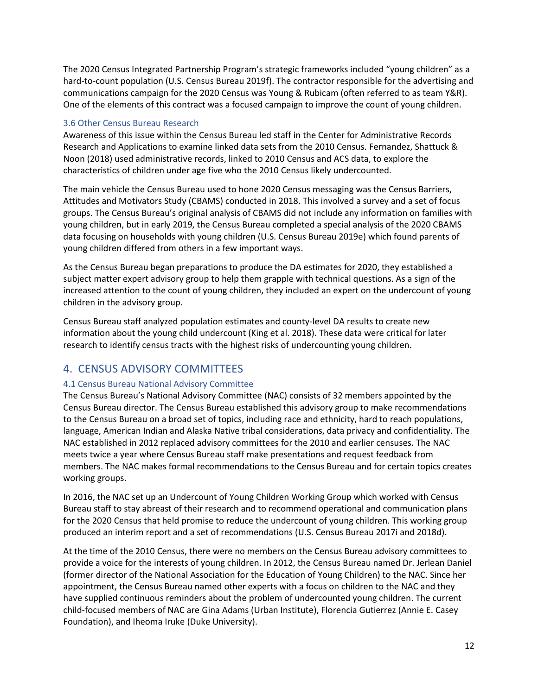The 2020 Census Integrated Partnership Program's strategic frameworks included "young children" as a hard-to-count population (U.S. Census Bureau 2019f). The contractor responsible for the advertising and communications campaign for the 2020 Census was Young & Rubicam (often referred to as team Y&R). One of the elements of this contract was a focused campaign to improve the count of young children.

## 3.6 Other Census Bureau Research

Awareness of this issue within the Census Bureau led staff in the Center for Administrative Records Research and Applications to examine linked data sets from the 2010 Census. Fernandez, Shattuck & Noon (2018) used administrative records, linked to 2010 Census and ACS data, to explore the characteristics of children under age five who the 2010 Census likely undercounted.

The main vehicle the Census Bureau used to hone 2020 Census messaging was the Census Barriers, Attitudes and Motivators Study (CBAMS) conducted in 2018. This involved a survey and a set of focus groups. The Census Bureau's original analysis of CBAMS did not include any information on families with young children, but in early 2019, the Census Bureau completed a special analysis of the 2020 CBAMS data focusing on households with young children (U.S. Census Bureau 2019e) which found parents of young children differed from others in a few important ways.

As the Census Bureau began preparations to produce the DA estimates for 2020, they established a subject matter expert advisory group to help them grapple with technical questions. As a sign of the increased attention to the count of young children, they included an expert on the undercount of young children in the advisory group.

Census Bureau staff analyzed population estimates and county-level DA results to create new information about the young child undercount (King et al. 2018). These data were critical for later research to identify census tracts with the highest risks of undercounting young children.

# 4. CENSUS ADVISORY COMMITTEES

## 4.1 Census Bureau National Advisory Committee

The Census Bureau's National Advisory Committee (NAC) consists of 32 members appointed by the Census Bureau director. The Census Bureau established this advisory group to make recommendations to the Census Bureau on a broad set of topics, including race and ethnicity, hard to reach populations, language, American Indian and Alaska Native tribal considerations, data privacy and confidentiality. The NAC established in 2012 replaced advisory committees for the 2010 and earlier censuses. The NAC meets twice a year where Census Bureau staff make presentations and request feedback from members. The NAC makes formal recommendations to the Census Bureau and for certain topics creates working groups.

In 2016, the NAC set up an Undercount of Young Children Working Group which worked with Census Bureau staff to stay abreast of their research and to recommend operational and communication plans for the 2020 Census that held promise to reduce the undercount of young children. This working group produced an interim report and a set of recommendations (U.S. Census Bureau 2017i and 2018d).

At the time of the 2010 Census, there were no members on the Census Bureau advisory committees to provide a voice for the interests of young children. In 2012, the Census Bureau named Dr. Jerlean Daniel (former director of the National Association for the Education of Young Children) to the NAC. Since her appointment, the Census Bureau named other experts with a focus on children to the NAC and they have supplied continuous reminders about the problem of undercounted young children. The current child-focused members of NAC are Gina Adams (Urban Institute), Florencia Gutierrez (Annie E. Casey Foundation), and Iheoma Iruke (Duke University).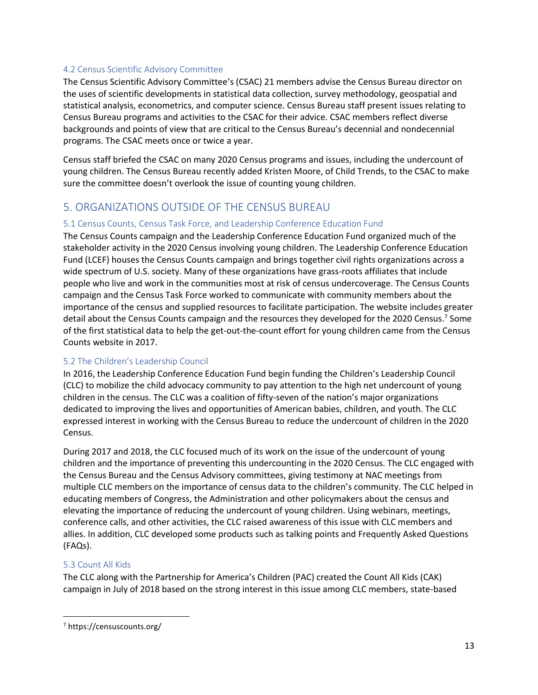### 4.2 Census Scientific Advisory Committee

The Census Scientific Advisory Committee's (CSAC) 21 members advise the Census Bureau director on the uses of scientific developments in statistical data collection, survey methodology, geospatial and statistical analysis, econometrics, and computer science. Census Bureau staff present issues relating to Census Bureau programs and activities to the CSAC for their advice. CSAC members reflect diverse backgrounds and points of view that are critical to the Census Bureau's decennial and nondecennial programs. The CSAC meets once or twice a year.

Census staff briefed the CSAC on many 2020 Census programs and issues, including the undercount of young children. The Census Bureau recently added Kristen Moore, of Child Trends, to the CSAC to make sure the committee doesn't overlook the issue of counting young children.

# 5. ORGANIZATIONS OUTSIDE OF THE CENSUS BUREAU

### 5.1 Census Counts, Census Task Force, and Leadership Conference Education Fund

The Census Counts campaign and the Leadership Conference Education Fund organized much of the stakeholder activity in the 2020 Census involving young children. The Leadership Conference Education Fund (LCEF) houses the Census Counts campaign and brings together civil rights organizations across a wide spectrum of U.S. society. Many of these organizations have grass-roots affiliates that include people who live and work in the communities most at risk of census undercoverage. The Census Counts campaign and the Census Task Force worked to communicate with community members about the importance of the census and supplied resources to facilitate participation. The website includes greater detail about the Census Counts campaign and the resources they developed for the 2020 Census.<sup>7</sup> Some of the first statistical data to help the get-out-the-count effort for young children came from the Census Counts website in 2017.

## 5.2 The Children's Leadership Council

In 2016, the Leadership Conference Education Fund begin funding the Children's Leadership Council (CLC) to mobilize the child advocacy community to pay attention to the high net undercount of young children in the census. The CLC was a coalition of fifty-seven of the nation's major organizations dedicated to improving the lives and opportunities of American babies, children, and youth. The CLC expressed interest in working with the Census Bureau to reduce the undercount of children in the 2020 Census.

During 2017 and 2018, the CLC focused much of its work on the issue of the undercount of young children and the importance of preventing this undercounting in the 2020 Census. The CLC engaged with the Census Bureau and the Census Advisory committees, giving testimony at NAC meetings from multiple CLC members on the importance of census data to the children's community. The CLC helped in educating members of Congress, the Administration and other policymakers about the census and elevating the importance of reducing the undercount of young children. Using webinars, meetings, conference calls, and other activities, the CLC raised awareness of this issue with CLC members and allies. In addition, CLC developed some products such as talking points and Frequently Asked Questions (FAQs).

## 5.3 Count All Kids

The CLC along with the Partnership for America's Children (PAC) created the Count All Kids (CAK) campaign in July of 2018 based on the strong interest in this issue among CLC members, state-based

<sup>7</sup> https://censuscounts.org/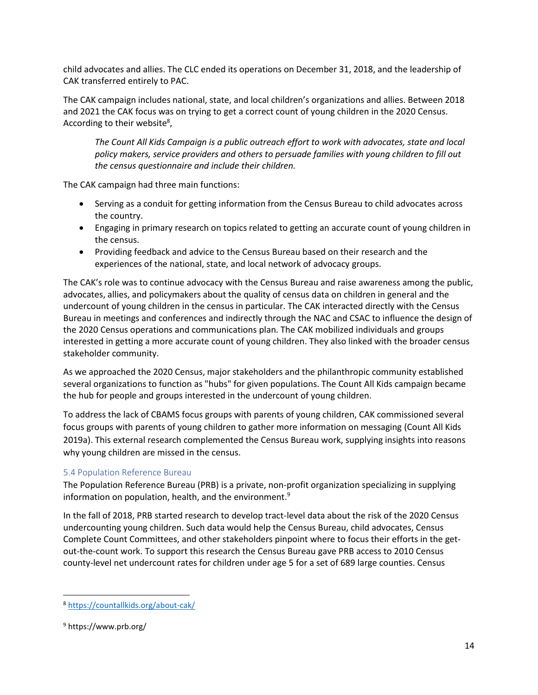child advocates and allies. The CLC ended its operations on December 31, 2018, and the leadership of CAK transferred entirely to PAC.

The CAK campaign includes national, state, and local children's organizations and allies. Between 2018 and 2021 the CAK focus was on trying to get a correct count of young children in the 2020 Census. According to their website<sup>8</sup>,

*The Count All Kids Campaign is a public outreach effort to work with advocates, state and local policy makers, service providers and others to persuade families with young children to fill out the census questionnaire and include their children.* 

The CAK campaign had three main functions:

- Serving as a conduit for getting information from the Census Bureau to child advocates across the country.
- Engaging in primary research on topics related to getting an accurate count of young children in the census.
- Providing feedback and advice to the Census Bureau based on their research and the experiences of the national, state, and local network of advocacy groups.

The CAK's role was to continue advocacy with the Census Bureau and raise awareness among the public, advocates, allies, and policymakers about the quality of census data on children in general and the undercount of young children in the census in particular. The CAK interacted directly with the Census Bureau in meetings and conferences and indirectly through the NAC and CSAC to influence the design of the 2020 Census operations and communications plan. The CAK mobilized individuals and groups interested in getting a more accurate count of young children. They also linked with the broader census stakeholder community.

As we approached the 2020 Census, major stakeholders and the philanthropic community established several organizations to function as "hubs" for given populations. The Count All Kids campaign became the hub for people and groups interested in the undercount of young children.

To address the lack of CBAMS focus groups with parents of young children, CAK commissioned several focus groups with parents of young children to gather more information on messaging (Count All Kids 2019a). This external research complemented the Census Bureau work, supplying insights into reasons why young children are missed in the census.

## 5.4 Population Reference Bureau

The Population Reference Bureau (PRB) is a private, non-profit organization specializing in supplying information on population, health, and the environment.<sup>9</sup>

In the fall of 2018, PRB started research to develop tract-level data about the risk of the 2020 Census undercounting young children. Such data would help the Census Bureau, child advocates, Census Complete Count Committees, and other stakeholders pinpoint where to focus their efforts in the getout-the-count work. To support this research the Census Bureau gave PRB access to 2010 Census county-level net undercount rates for children under age 5 for a set of 689 large counties. Census

<sup>8</sup> <https://countallkids.org/about-cak/>

<sup>9</sup> https://www.prb.org/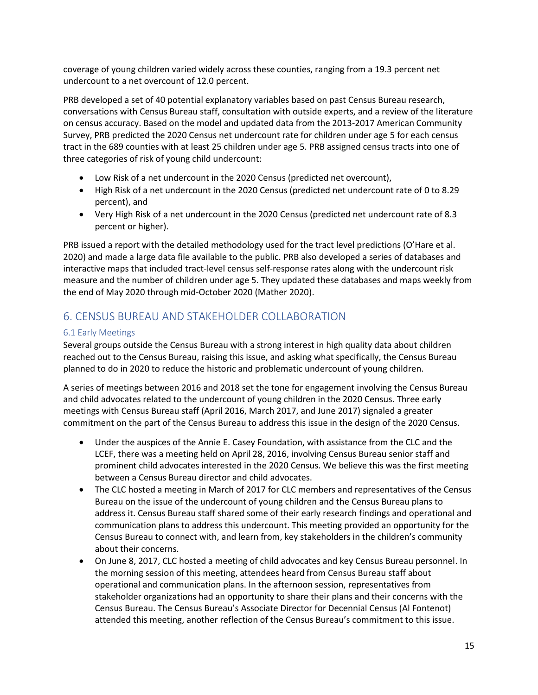coverage of young children varied widely across these counties, ranging from a 19.3 percent net undercount to a net overcount of 12.0 percent.

PRB developed a set of 40 potential explanatory variables based on past Census Bureau research, conversations with Census Bureau staff, consultation with outside experts, and a review of the literature on census accuracy. Based on the model and updated data from the 2013-2017 American Community Survey, PRB predicted the 2020 Census net undercount rate for children under age 5 for each census tract in the 689 counties with at least 25 children under age 5. PRB assigned census tracts into one of three categories of risk of young child undercount:

- Low Risk of a net undercount in the 2020 Census (predicted net overcount),
- High Risk of a net undercount in the 2020 Census (predicted net undercount rate of 0 to 8.29 percent), and
- Very High Risk of a net undercount in the 2020 Census (predicted net undercount rate of 8.3 percent or higher).

PRB issued a report with the detailed methodology used for the tract level predictions (O'Hare et al. 2020) and made a large data file available to the public. PRB also developed a series of databases and interactive maps that included tract-level census self-response rates along with the undercount risk measure and the number of children under age 5. They updated these databases and maps weekly from the end of May 2020 through mid-October 2020 (Mather 2020).

# 6. CENSUS BUREAU AND STAKEHOLDER COLLABORATION

## 6.1 Early Meetings

Several groups outside the Census Bureau with a strong interest in high quality data about children reached out to the Census Bureau, raising this issue, and asking what specifically, the Census Bureau planned to do in 2020 to reduce the historic and problematic undercount of young children.

A series of meetings between 2016 and 2018 set the tone for engagement involving the Census Bureau and child advocates related to the undercount of young children in the 2020 Census. Three early meetings with Census Bureau staff (April 2016, March 2017, and June 2017) signaled a greater commitment on the part of the Census Bureau to address this issue in the design of the 2020 Census.

- Under the auspices of the Annie E. Casey Foundation, with assistance from the CLC and the LCEF, there was a meeting held on April 28, 2016, involving Census Bureau senior staff and prominent child advocates interested in the 2020 Census. We believe this was the first meeting between a Census Bureau director and child advocates.
- The CLC hosted a meeting in March of 2017 for CLC members and representatives of the Census Bureau on the issue of the undercount of young children and the Census Bureau plans to address it. Census Bureau staff shared some of their early research findings and operational and communication plans to address this undercount. This meeting provided an opportunity for the Census Bureau to connect with, and learn from, key stakeholders in the children's community about their concerns.
- On June 8, 2017, CLC hosted a meeting of child advocates and key Census Bureau personnel. In the morning session of this meeting, attendees heard from Census Bureau staff about operational and communication plans. In the afternoon session, representatives from stakeholder organizations had an opportunity to share their plans and their concerns with the Census Bureau. The Census Bureau's Associate Director for Decennial Census (Al Fontenot) attended this meeting, another reflection of the Census Bureau's commitment to this issue.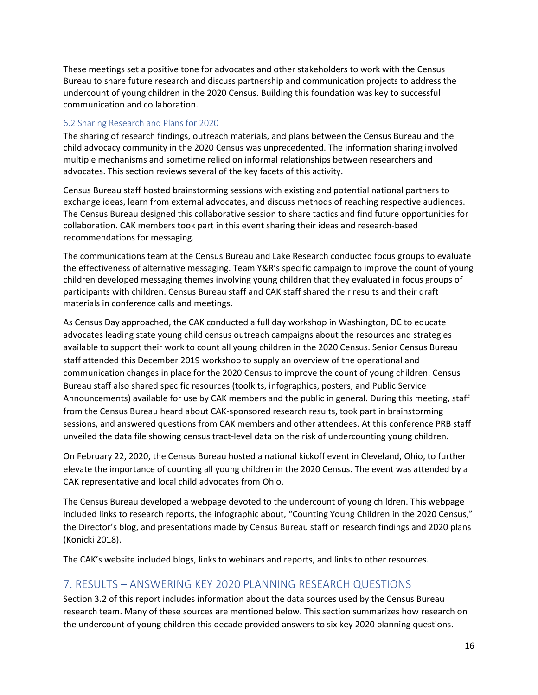These meetings set a positive tone for advocates and other stakeholders to work with the Census Bureau to share future research and discuss partnership and communication projects to address the undercount of young children in the 2020 Census. Building this foundation was key to successful communication and collaboration.

### 6.2 Sharing Research and Plans for 2020

The sharing of research findings, outreach materials, and plans between the Census Bureau and the child advocacy community in the 2020 Census was unprecedented. The information sharing involved multiple mechanisms and sometime relied on informal relationships between researchers and advocates. This section reviews several of the key facets of this activity.

Census Bureau staff hosted brainstorming sessions with existing and potential national partners to exchange ideas, learn from external advocates, and discuss methods of reaching respective audiences. The Census Bureau designed this collaborative session to share tactics and find future opportunities for collaboration. CAK members took part in this event sharing their ideas and research-based recommendations for messaging.

The communications team at the Census Bureau and Lake Research conducted focus groups to evaluate the effectiveness of alternative messaging. Team Y&R's specific campaign to improve the count of young children developed messaging themes involving young children that they evaluated in focus groups of participants with children. Census Bureau staff and CAK staff shared their results and their draft materials in conference calls and meetings.

As Census Day approached, the CAK conducted a full day workshop in Washington, DC to educate advocates leading state young child census outreach campaigns about the resources and strategies available to support their work to count all young children in the 2020 Census. Senior Census Bureau staff attended this December 2019 workshop to supply an overview of the operational and communication changes in place for the 2020 Census to improve the count of young children. Census Bureau staff also shared specific resources (toolkits, infographics, posters, and Public Service Announcements) available for use by CAK members and the public in general. During this meeting, staff from the Census Bureau heard about CAK-sponsored research results, took part in brainstorming sessions, and answered questions from CAK members and other attendees. At this conference PRB staff unveiled the data file showing census tract-level data on the risk of undercounting young children.

On February 22, 2020, the Census Bureau hosted a national kickoff event in Cleveland, Ohio, to further elevate the importance of counting all young children in the 2020 Census. The event was attended by a CAK representative and local child advocates from Ohio.

The Census Bureau developed a webpage devoted to the undercount of young children. This webpage included links to research reports, the infographic about, "Counting Young Children in the 2020 Census," the Director's blog, and presentations made by Census Bureau staff on research findings and 2020 plans (Konicki 2018).

The CAK's website included blogs, links to webinars and reports, and links to other resources.

# 7. RESULTS – ANSWERING KEY 2020 PLANNING RESEARCH QUESTIONS

Section 3.2 of this report includes information about the data sources used by the Census Bureau research team. Many of these sources are mentioned below. This section summarizes how research on the undercount of young children this decade provided answers to six key 2020 planning questions.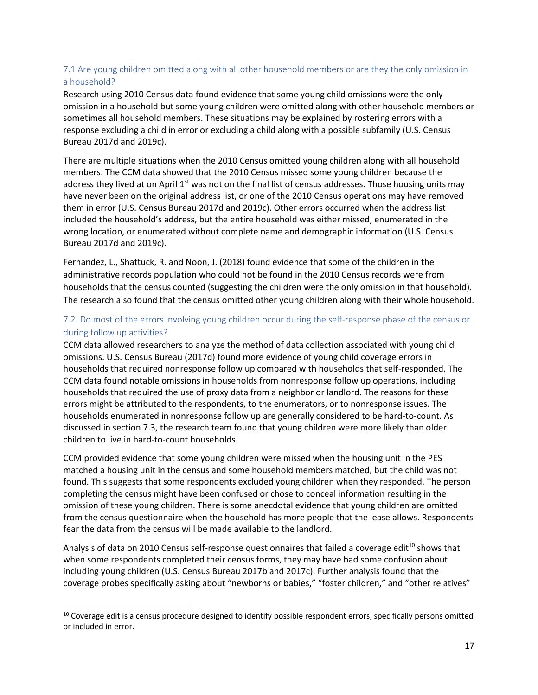## 7.1 Are young children omitted along with all other household members or are they the only omission in a household?

Research using 2010 Census data found evidence that some young child omissions were the only omission in a household but some young children were omitted along with other household members or sometimes all household members. These situations may be explained by rostering errors with a response excluding a child in error or excluding a child along with a possible subfamily (U.S. Census Bureau 2017d and 2019c).

There are multiple situations when the 2010 Census omitted young children along with all household members. The CCM data showed that the 2010 Census missed some young children because the address they lived at on April  $1<sup>st</sup>$  was not on the final list of census addresses. Those housing units may have never been on the original address list, or one of the 2010 Census operations may have removed them in error (U.S. Census Bureau 2017d and 2019c). Other errors occurred when the address list included the household's address, but the entire household was either missed, enumerated in the wrong location, or enumerated without complete name and demographic information (U.S. Census Bureau 2017d and 2019c).

Fernandez, L., Shattuck, R. and Noon, J. (2018) found evidence that some of the children in the administrative records population who could not be found in the 2010 Census records were from households that the census counted (suggesting the children were the only omission in that household). The research also found that the census omitted other young children along with their whole household.

## 7.2. Do most of the errors involving young children occur during the self-response phase of the census or during follow up activities?

CCM data allowed researchers to analyze the method of data collection associated with young child omissions. U.S. Census Bureau (2017d) found more evidence of young child coverage errors in households that required nonresponse follow up compared with households that self-responded. The CCM data found notable omissions in households from nonresponse follow up operations, including households that required the use of proxy data from a neighbor or landlord. The reasons for these errors might be attributed to the respondents, to the enumerators, or to nonresponse issues. The households enumerated in nonresponse follow up are generally considered to be hard-to-count. As discussed in section 7.3, the research team found that young children were more likely than older children to live in hard-to-count households.

CCM provided evidence that some young children were missed when the housing unit in the PES matched a housing unit in the census and some household members matched, but the child was not found. This suggests that some respondents excluded young children when they responded. The person completing the census might have been confused or chose to conceal information resulting in the omission of these young children. There is some anecdotal evidence that young children are omitted from the census questionnaire when the household has more people that the lease allows. Respondents fear the data from the census will be made available to the landlord.

Analysis of data on 2010 Census self-response questionnaires that failed a coverage edit<sup>10</sup> shows that when some respondents completed their census forms, they may have had some confusion about including young children (U.S. Census Bureau 2017b and 2017c). Further analysis found that the coverage probes specifically asking about "newborns or babies," "foster children," and "other relatives"

<sup>&</sup>lt;sup>10</sup> Coverage edit is a census procedure designed to identify possible respondent errors, specifically persons omitted or included in error.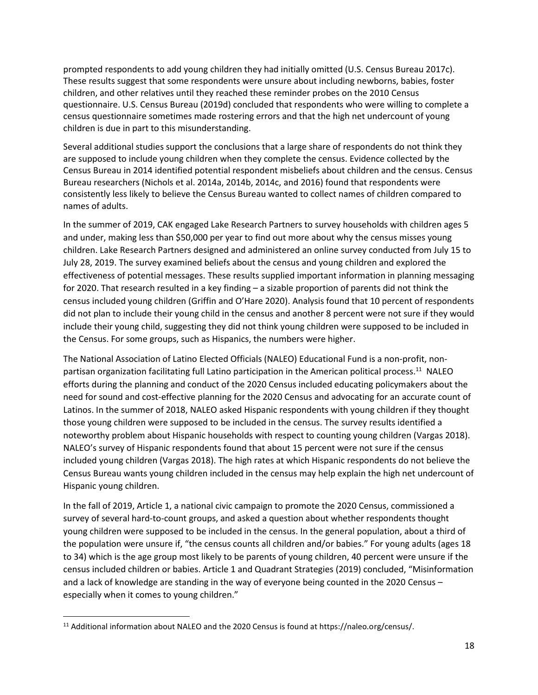prompted respondents to add young children they had initially omitted (U.S. Census Bureau 2017c). These results suggest that some respondents were unsure about including newborns, babies, foster children, and other relatives until they reached these reminder probes on the 2010 Census questionnaire. U.S. Census Bureau (2019d) concluded that respondents who were willing to complete a census questionnaire sometimes made rostering errors and that the high net undercount of young children is due in part to this misunderstanding.

Several additional studies support the conclusions that a large share of respondents do not think they are supposed to include young children when they complete the census. Evidence collected by the Census Bureau in 2014 identified potential respondent misbeliefs about children and the census. Census Bureau researchers (Nichols et al. 2014a, 2014b, 2014c, and 2016) found that respondents were consistently less likely to believe the Census Bureau wanted to collect names of children compared to names of adults.

In the summer of 2019, CAK engaged Lake Research Partners to survey households with children ages 5 and under, making less than \$50,000 per year to find out more about why the census misses young children. Lake Research Partners designed and administered an online survey conducted from July 15 to July 28, 2019. The survey examined beliefs about the census and young children and explored the effectiveness of potential messages. These results supplied important information in planning messaging for 2020. That research resulted in a key finding – a sizable proportion of parents did not think the census included young children (Griffin and O'Hare 2020). Analysis found that 10 percent of respondents did not plan to include their young child in the census and another 8 percent were not sure if they would include their young child, suggesting they did not think young children were supposed to be included in the Census. For some groups, such as Hispanics, the numbers were higher.

The National Association of Latino Elected Officials (NALEO) Educational Fund is a non-profit, nonpartisan organization facilitating full Latino participation in the American political process.<sup>11</sup> NALEO efforts during the planning and conduct of the 2020 Census included educating policymakers about the need for sound and cost-effective planning for the 2020 Census and advocating for an accurate count of Latinos. In the summer of 2018, NALEO asked Hispanic respondents with young children if they thought those young children were supposed to be included in the census. The survey results identified a noteworthy problem about Hispanic households with respect to counting young children (Vargas 2018). NALEO's survey of Hispanic respondents found that about 15 percent were not sure if the census included young children (Vargas 2018). The high rates at which Hispanic respondents do not believe the Census Bureau wants young children included in the census may help explain the high net undercount of Hispanic young children.

In the fall of 2019, Article 1, a national civic campaign to promote the 2020 Census, commissioned a survey of several hard-to-count groups, and asked a question about whether respondents thought young children were supposed to be included in the census. In the general population, about a third of the population were unsure if, "the census counts all children and/or babies." For young adults (ages 18 to 34) which is the age group most likely to be parents of young children, 40 percent were unsure if the census included children or babies. Article 1 and Quadrant Strategies (2019) concluded, "Misinformation and a lack of knowledge are standing in the way of everyone being counted in the 2020 Census – especially when it comes to young children."

<sup>&</sup>lt;sup>11</sup> Additional information about NALEO and the 2020 Census is found at https://naleo.org/census/.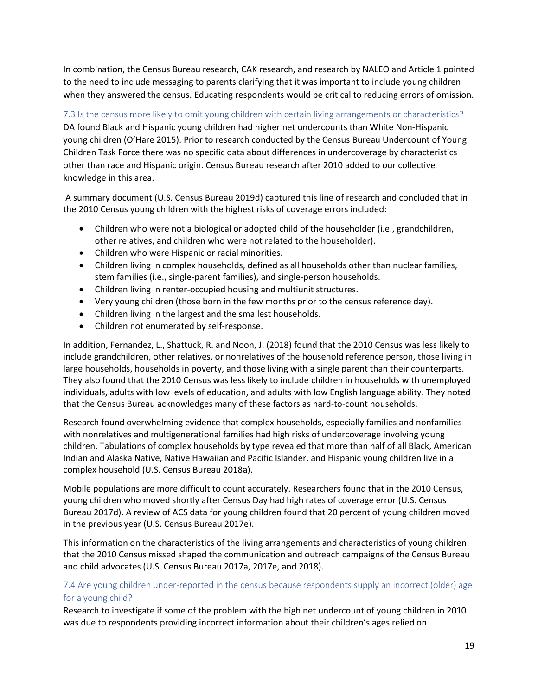In combination, the Census Bureau research, CAK research, and research by NALEO and Article 1 pointed to the need to include messaging to parents clarifying that it was important to include young children when they answered the census. Educating respondents would be critical to reducing errors of omission.

7.3 Is the census more likely to omit young children with certain living arrangements or characteristics? DA found Black and Hispanic young children had higher net undercounts than White Non-Hispanic young children (O'Hare 2015). Prior to research conducted by the Census Bureau Undercount of Young Children Task Force there was no specific data about differences in undercoverage by characteristics other than race and Hispanic origin. Census Bureau research after 2010 added to our collective knowledge in this area.

A summary document (U.S. Census Bureau 2019d) captured this line of research and concluded that in the 2010 Census young children with the highest risks of coverage errors included:

- Children who were not a biological or adopted child of the householder (i.e., grandchildren, other relatives, and children who were not related to the householder).
- Children who were Hispanic or racial minorities.
- Children living in complex households, defined as all households other than nuclear families, stem families (i.e., single-parent families), and single-person households.
- Children living in renter-occupied housing and multiunit structures.
- Very young children (those born in the few months prior to the census reference day).
- Children living in the largest and the smallest households.
- Children not enumerated by self-response.

In addition, Fernandez, L., Shattuck, R. and Noon, J. (2018) found that the 2010 Census was less likely to include grandchildren, other relatives, or nonrelatives of the household reference person, those living in large households, households in poverty, and those living with a single parent than their counterparts. They also found that the 2010 Census was less likely to include children in households with unemployed individuals, adults with low levels of education, and adults with low English language ability. They noted that the Census Bureau acknowledges many of these factors as hard-to-count households.

Research found overwhelming evidence that complex households, especially families and nonfamilies with nonrelatives and multigenerational families had high risks of undercoverage involving young children. Tabulations of complex households by type revealed that more than half of all Black, American Indian and Alaska Native, Native Hawaiian and Pacific Islander, and Hispanic young children live in a complex household (U.S. Census Bureau 2018a).

Mobile populations are more difficult to count accurately. Researchers found that in the 2010 Census, young children who moved shortly after Census Day had high rates of coverage error (U.S. Census Bureau 2017d). A review of ACS data for young children found that 20 percent of young children moved in the previous year (U.S. Census Bureau 2017e).

This information on the characteristics of the living arrangements and characteristics of young children that the 2010 Census missed shaped the communication and outreach campaigns of the Census Bureau and child advocates (U.S. Census Bureau 2017a, 2017e, and 2018).

## 7.4 Are young children under-reported in the census because respondents supply an incorrect (older) age for a young child?

Research to investigate if some of the problem with the high net undercount of young children in 2010 was due to respondents providing incorrect information about their children's ages relied on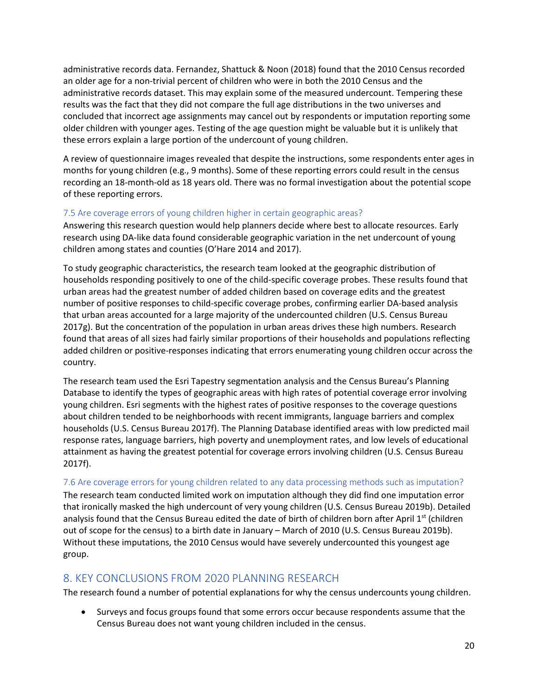administrative records data. Fernandez, Shattuck & Noon (2018) found that the 2010 Census recorded an older age for a non-trivial percent of children who were in both the 2010 Census and the administrative records dataset. This may explain some of the measured undercount. Tempering these results was the fact that they did not compare the full age distributions in the two universes and concluded that incorrect age assignments may cancel out by respondents or imputation reporting some older children with younger ages. Testing of the age question might be valuable but it is unlikely that these errors explain a large portion of the undercount of young children.

A review of questionnaire images revealed that despite the instructions, some respondents enter ages in months for young children (e.g., 9 months). Some of these reporting errors could result in the census recording an 18-month-old as 18 years old. There was no formal investigation about the potential scope of these reporting errors.

### 7.5 Are coverage errors of young children higher in certain geographic areas?

Answering this research question would help planners decide where best to allocate resources. Early research using DA-like data found considerable geographic variation in the net undercount of young children among states and counties (O'Hare 2014 and 2017).

To study geographic characteristics, the research team looked at the geographic distribution of households responding positively to one of the child-specific coverage probes. These results found that urban areas had the greatest number of added children based on coverage edits and the greatest number of positive responses to child-specific coverage probes, confirming earlier DA-based analysis that urban areas accounted for a large majority of the undercounted children (U.S. Census Bureau 2017g). But the concentration of the population in urban areas drives these high numbers. Research found that areas of all sizes had fairly similar proportions of their households and populations reflecting added children or positive-responses indicating that errors enumerating young children occur across the country.

The research team used the Esri Tapestry segmentation analysis and the Census Bureau's Planning Database to identify the types of geographic areas with high rates of potential coverage error involving young children. Esri segments with the highest rates of positive responses to the coverage questions about children tended to be neighborhoods with recent immigrants, language barriers and complex households (U.S. Census Bureau 2017f). The Planning Database identified areas with low predicted mail response rates, language barriers, high poverty and unemployment rates, and low levels of educational attainment as having the greatest potential for coverage errors involving children (U.S. Census Bureau 2017f).

7.6 Are coverage errors for young children related to any data processing methods such as imputation? The research team conducted limited work on imputation although they did find one imputation error that ironically masked the high undercount of very young children (U.S. Census Bureau 2019b). Detailed analysis found that the Census Bureau edited the date of birth of children born after April 1<sup>st</sup> (children out of scope for the census) to a birth date in January – March of 2010 (U.S. Census Bureau 2019b). Without these imputations, the 2010 Census would have severely undercounted this youngest age group.

## 8. KEY CONCLUSIONS FROM 2020 PLANNING RESEARCH

The research found a number of potential explanations for why the census undercounts young children.

• Surveys and focus groups found that some errors occur because respondents assume that the Census Bureau does not want young children included in the census.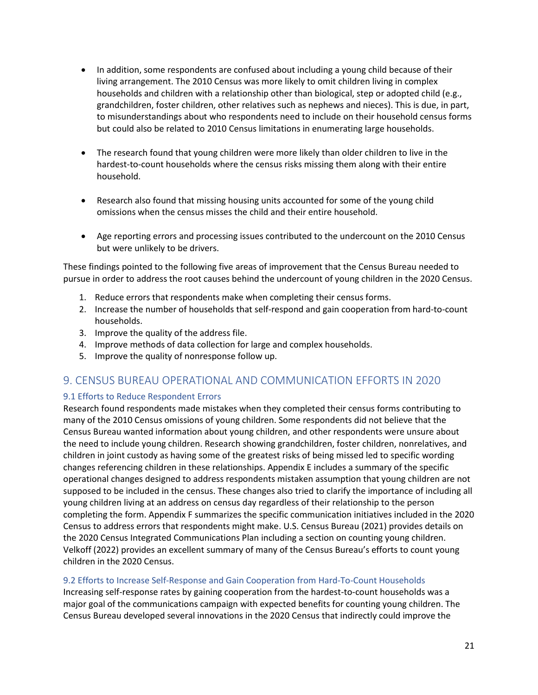- In addition, some respondents are confused about including a young child because of their living arrangement. The 2010 Census was more likely to omit children living in complex households and children with a relationship other than biological, step or adopted child (e.g., grandchildren, foster children, other relatives such as nephews and nieces). This is due, in part, to misunderstandings about who respondents need to include on their household census forms but could also be related to 2010 Census limitations in enumerating large households.
- The research found that young children were more likely than older children to live in the hardest-to-count households where the census risks missing them along with their entire household.
- Research also found that missing housing units accounted for some of the young child omissions when the census misses the child and their entire household.
- Age reporting errors and processing issues contributed to the undercount on the 2010 Census but were unlikely to be drivers.

These findings pointed to the following five areas of improvement that the Census Bureau needed to pursue in order to address the root causes behind the undercount of young children in the 2020 Census.

- 1. Reduce errors that respondents make when completing their census forms.
- 2. Increase the number of households that self-respond and gain cooperation from hard-to-count households.
- 3. Improve the quality of the address file.
- 4. Improve methods of data collection for large and complex households.
- 5. Improve the quality of nonresponse follow up.

## 9. CENSUS BUREAU OPERATIONAL AND COMMUNICATION EFFORTS IN 2020

#### 9.1 Efforts to Reduce Respondent Errors

Research found respondents made mistakes when they completed their census forms contributing to many of the 2010 Census omissions of young children. Some respondents did not believe that the Census Bureau wanted information about young children, and other respondents were unsure about the need to include young children. Research showing grandchildren, foster children, nonrelatives, and children in joint custody as having some of the greatest risks of being missed led to specific wording changes referencing children in these relationships. Appendix E includes a summary of the specific operational changes designed to address respondents mistaken assumption that young children are not supposed to be included in the census. These changes also tried to clarify the importance of including all young children living at an address on census day regardless of their relationship to the person completing the form. Appendix F summarizes the specific communication initiatives included in the 2020 Census to address errors that respondents might make. U.S. Census Bureau (2021) provides details on the 2020 Census Integrated Communications Plan including a section on counting young children. Velkoff (2022) provides an excellent summary of many of the Census Bureau's efforts to count young children in the 2020 Census.

#### 9.2 Efforts to Increase Self-Response and Gain Cooperation from Hard-To-Count Households

Increasing self-response rates by gaining cooperation from the hardest-to-count households was a major goal of the communications campaign with expected benefits for counting young children. The Census Bureau developed several innovations in the 2020 Census that indirectly could improve the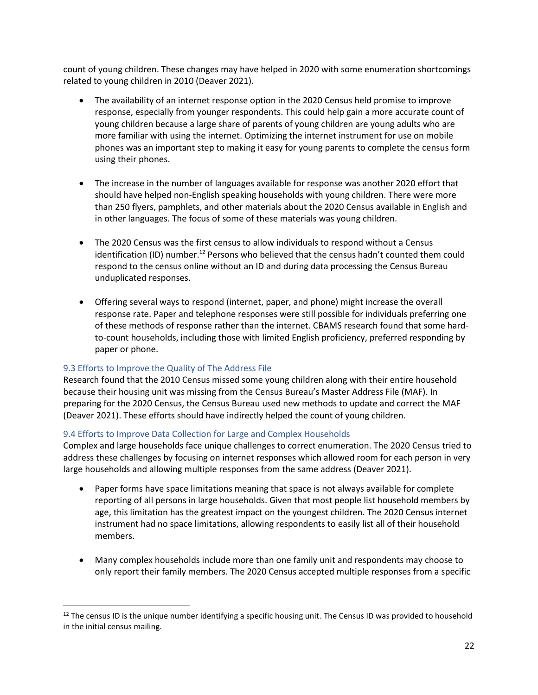count of young children. These changes may have helped in 2020 with some enumeration shortcomings related to young children in 2010 (Deaver 2021).

- The availability of an internet response option in the 2020 Census held promise to improve response, especially from younger respondents. This could help gain a more accurate count of young children because a large share of parents of young children are young adults who are more familiar with using the internet. Optimizing the internet instrument for use on mobile phones was an important step to making it easy for young parents to complete the census form using their phones.
- The increase in the number of languages available for response was another 2020 effort that should have helped non-English speaking households with young children. There were more than 250 flyers, pamphlets, and other materials about the 2020 Census available in English and in other languages. The focus of some of these materials was young children.
- The 2020 Census was the first census to allow individuals to respond without a Census identification (ID) number.<sup>12</sup> Persons who believed that the census hadn't counted them could respond to the census online without an ID and during data processing the Census Bureau unduplicated responses.
- Offering several ways to respond (internet, paper, and phone) might increase the overall response rate. Paper and telephone responses were still possible for individuals preferring one of these methods of response rather than the internet. CBAMS research found that some hardto-count households, including those with limited English proficiency, preferred responding by paper or phone.

#### 9.3 Efforts to Improve the Quality of The Address File

Research found that the 2010 Census missed some young children along with their entire household because their housing unit was missing from the Census Bureau's Master Address File (MAF). In preparing for the 2020 Census, the Census Bureau used new methods to update and correct the MAF (Deaver 2021). These efforts should have indirectly helped the count of young children.

#### 9.4 Efforts to Improve Data Collection for Large and Complex Households

Complex and large households face unique challenges to correct enumeration. The 2020 Census tried to address these challenges by focusing on internet responses which allowed room for each person in very large households and allowing multiple responses from the same address (Deaver 2021).

- Paper forms have space limitations meaning that space is not always available for complete reporting of all persons in large households. Given that most people list household members by age, this limitation has the greatest impact on the youngest children. The 2020 Census internet instrument had no space limitations, allowing respondents to easily list all of their household members.
- Many complex households include more than one family unit and respondents may choose to only report their family members. The 2020 Census accepted multiple responses from a specific

 $12$  The census ID is the unique number identifying a specific housing unit. The Census ID was provided to household in the initial census mailing.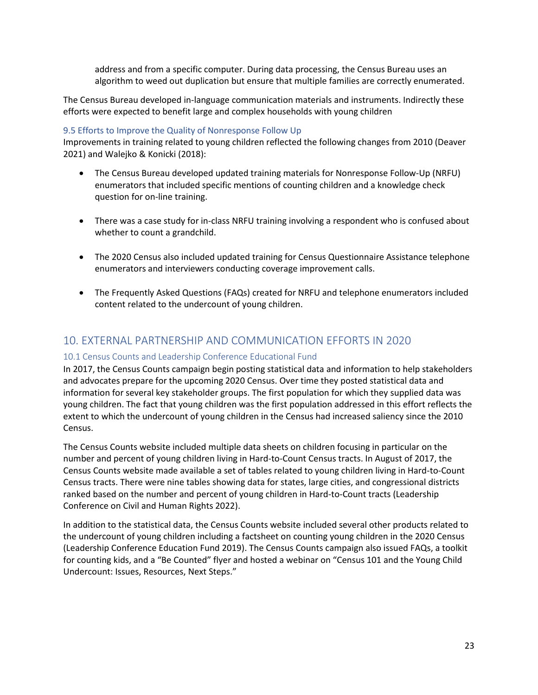address and from a specific computer. During data processing, the Census Bureau uses an algorithm to weed out duplication but ensure that multiple families are correctly enumerated.

The Census Bureau developed in-language communication materials and instruments. Indirectly these efforts were expected to benefit large and complex households with young children

#### 9.5 Efforts to Improve the Quality of Nonresponse Follow Up

Improvements in training related to young children reflected the following changes from 2010 (Deaver 2021) and Walejko & Konicki (2018):

- The Census Bureau developed updated training materials for Nonresponse Follow-Up (NRFU) enumerators that included specific mentions of counting children and a knowledge check question for on-line training.
- There was a case study for in-class NRFU training involving a respondent who is confused about whether to count a grandchild.
- The 2020 Census also included updated training for Census Questionnaire Assistance telephone enumerators and interviewers conducting coverage improvement calls.
- The Frequently Asked Questions (FAQs) created for NRFU and telephone enumerators included content related to the undercount of young children.

## 10. EXTERNAL PARTNERSHIP AND COMMUNICATION EFFORTS IN 2020

## 10.1 Census Counts and Leadership Conference Educational Fund

In 2017, the Census Counts campaign begin posting statistical data and information to help stakeholders and advocates prepare for the upcoming 2020 Census. Over time they posted statistical data and information for several key stakeholder groups. The first population for which they supplied data was young children. The fact that young children was the first population addressed in this effort reflects the extent to which the undercount of young children in the Census had increased saliency since the 2010 Census.

The Census Counts website included multiple data sheets on children focusing in particular on the number and percent of young children living in Hard-to-Count Census tracts. In August of 2017, the Census Counts website made available a set of tables related to young children living in Hard-to-Count Census tracts. There were nine tables showing data for states, large cities, and congressional districts ranked based on the number and percent of young children in Hard-to-Count tracts (Leadership Conference on Civil and Human Rights 2022).

In addition to the statistical data, the Census Counts website included several other products related to the undercount of young children including a factsheet on counting young children in the 2020 Census (Leadership Conference Education Fund 2019). The Census Counts campaign also issued FAQs, a toolkit for counting kids, and a "Be Counted" flyer and hosted a webinar on "Census 101 and the Young Child Undercount: Issues, Resources, Next Steps."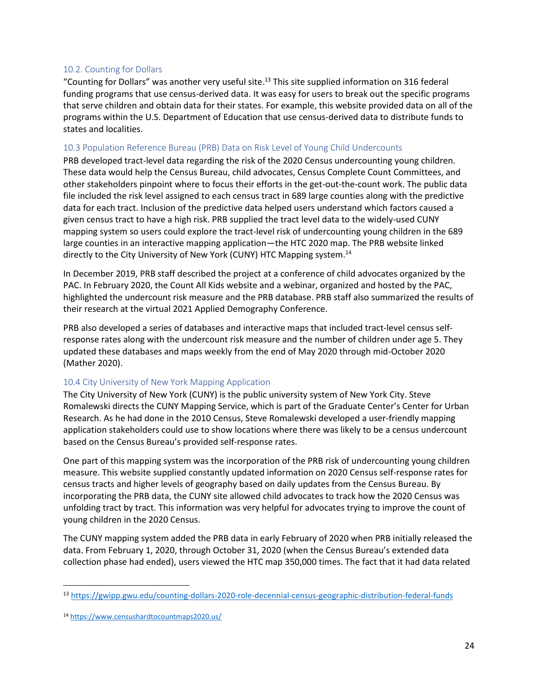#### 10.2. Counting for Dollars

"Counting for Dollars" was another very useful site. <sup>13</sup> This site supplied information on 316 federal funding programs that use census-derived data. It was easy for users to break out the specific programs that serve children and obtain data for their states. For example, this website provided data on all of the programs within the U.S. Department of Education that use census-derived data to distribute funds to states and localities.

#### 10.3 Population Reference Bureau (PRB) Data on Risk Level of Young Child Undercounts

PRB developed tract-level data regarding the risk of the 2020 Census undercounting young children. These data would help the Census Bureau, child advocates, Census Complete Count Committees, and other stakeholders pinpoint where to focus their efforts in the get-out-the-count work. The public data file included the risk level assigned to each census tract in 689 large counties along with the predictive data for each tract. Inclusion of the predictive data helped users understand which factors caused a given census tract to have a high risk. PRB supplied the tract level data to the widely-used CUNY mapping system so users could explore the tract-level risk of undercounting young children in the 689 large counties in an interactive mapping application—the HTC 2020 map. The PRB website linked directly to the City University of New York (CUNY) HTC Mapping system.<sup>14</sup>

In December 2019, PRB staff described the project at a conference of child advocates organized by the PAC. In February 2020, the Count All Kids website and a webinar, organized and hosted by the PAC, highlighted the undercount risk measure and the PRB database. PRB staff also summarized the results of their research at the virtual 2021 Applied Demography Conference.

PRB also developed a series of databases and interactive maps that included tract-level census selfresponse rates along with the undercount risk measure and the number of children under age 5. They updated these databases and maps weekly from the end of May 2020 through mid-October 2020 (Mather 2020).

#### 10.4 City University of New York Mapping Application

The City University of New York (CUNY) is the public university system of New York City. Steve Romalewski directs the CUNY Mapping Service, which is part of the Graduate Center's Center for Urban Research. As he had done in the 2010 Census, Steve Romalewski developed a user-friendly mapping application stakeholders could use to show locations where there was likely to be a census undercount based on the Census Bureau's provided self-response rates.

One part of this mapping system was the incorporation of the PRB risk of undercounting young children measure. This website supplied constantly updated information on 2020 Census self-response rates for census tracts and higher levels of geography based on daily updates from the Census Bureau. By incorporating the PRB data, the CUNY site allowed child advocates to track how the 2020 Census was unfolding tract by tract. This information was very helpful for advocates trying to improve the count of young children in the 2020 Census.

The CUNY mapping system added the PRB data in early February of 2020 when PRB initially released the data. From February 1, 2020, through October 31, 2020 (when the Census Bureau's extended data collection phase had ended), users viewed the HTC map 350,000 times. The fact that it had data related

<sup>13</sup> <https://gwipp.gwu.edu/counting-dollars-2020-role-decennial-census-geographic-distribution-federal-funds>

<sup>14</sup> <https://www.censushardtocountmaps2020.us/>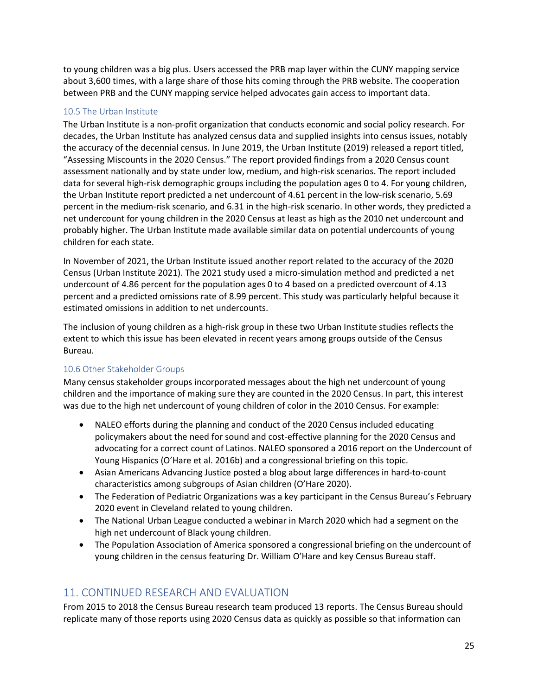to young children was a big plus. Users accessed the PRB map layer within the CUNY mapping service about 3,600 times, with a large share of those hits coming through the PRB website. The cooperation between PRB and the CUNY mapping service helped advocates gain access to important data.

#### 10.5 The Urban Institute

The Urban Institute is a non-profit organization that conducts economic and social policy research. For decades, the Urban Institute has analyzed census data and supplied insights into census issues, notably the accuracy of the decennial census. In June 2019, the Urban Institute (2019) released a report titled, "Assessing Miscounts in the 2020 Census." The report provided findings from a 2020 Census count assessment nationally and by state under low, medium, and high-risk scenarios. The report included data for several high-risk demographic groups including the population ages 0 to 4. For young children, the Urban Institute report predicted a net undercount of 4.61 percent in the low-risk scenario, 5.69 percent in the medium-risk scenario, and 6.31 in the high-risk scenario. In other words, they predicted a net undercount for young children in the 2020 Census at least as high as the 2010 net undercount and probably higher. The Urban Institute made available similar data on potential undercounts of young children for each state.

In November of 2021, the Urban Institute issued another report related to the accuracy of the 2020 Census (Urban Institute 2021). The 2021 study used a micro-simulation method and predicted a net undercount of 4.86 percent for the population ages 0 to 4 based on a predicted overcount of 4.13 percent and a predicted omissions rate of 8.99 percent. This study was particularly helpful because it estimated omissions in addition to net undercounts.

The inclusion of young children as a high-risk group in these two Urban Institute studies reflects the extent to which this issue has been elevated in recent years among groups outside of the Census Bureau.

## 10.6 Other Stakeholder Groups

Many census stakeholder groups incorporated messages about the high net undercount of young children and the importance of making sure they are counted in the 2020 Census. In part, this interest was due to the high net undercount of young children of color in the 2010 Census. For example:

- NALEO efforts during the planning and conduct of the 2020 Census included educating policymakers about the need for sound and cost-effective planning for the 2020 Census and advocating for a correct count of Latinos. NALEO sponsored a 2016 report on the Undercount of Young Hispanics (O'Hare et al. 2016b) and a congressional briefing on this topic.
- Asian Americans Advancing Justice posted a blog about large differences in hard-to-count characteristics among subgroups of Asian children (O'Hare 2020).
- The Federation of Pediatric Organizations was a key participant in the Census Bureau's February 2020 event in Cleveland related to young children.
- The National Urban League conducted a webinar in March 2020 which had a segment on the high net undercount of Black young children.
- The Population Association of America sponsored a congressional briefing on the undercount of young children in the census featuring Dr. William O'Hare and key Census Bureau staff.

# 11. CONTINUED RESEARCH AND EVALUATION

From 2015 to 2018 the Census Bureau research team produced 13 reports. The Census Bureau should replicate many of those reports using 2020 Census data as quickly as possible so that information can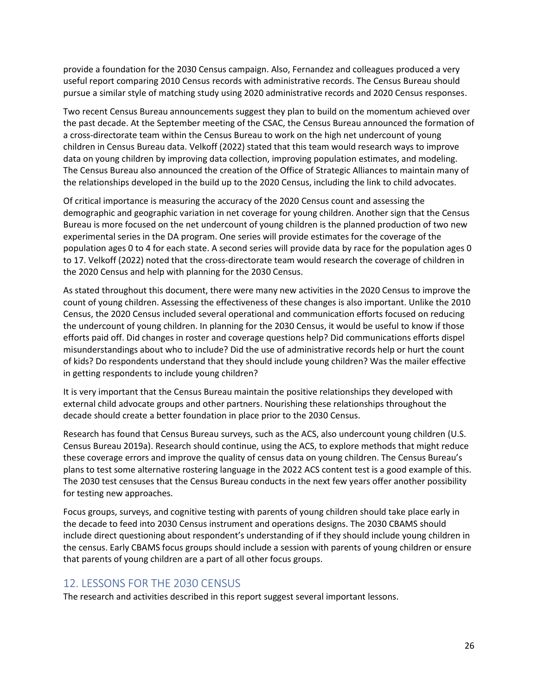provide a foundation for the 2030 Census campaign. Also, Fernandez and colleagues produced a very useful report comparing 2010 Census records with administrative records. The Census Bureau should pursue a similar style of matching study using 2020 administrative records and 2020 Census responses.

Two recent Census Bureau announcements suggest they plan to build on the momentum achieved over the past decade. At the September meeting of the CSAC, the Census Bureau announced the formation of a cross-directorate team within the Census Bureau to work on the high net undercount of young children in Census Bureau data. Velkoff (2022) stated that this team would research ways to improve data on young children by improving data collection, improving population estimates, and modeling. The Census Bureau also announced the creation of the Office of Strategic Alliances to maintain many of the relationships developed in the build up to the 2020 Census, including the link to child advocates.

Of critical importance is measuring the accuracy of the 2020 Census count and assessing the demographic and geographic variation in net coverage for young children. Another sign that the Census Bureau is more focused on the net undercount of young children is the planned production of two new experimental series in the DA program. One series will provide estimates for the coverage of the population ages 0 to 4 for each state. A second series will provide data by race for the population ages 0 to 17. Velkoff (2022) noted that the cross-directorate team would research the coverage of children in the 2020 Census and help with planning for the 2030 Census.

As stated throughout this document, there were many new activities in the 2020 Census to improve the count of young children. Assessing the effectiveness of these changes is also important. Unlike the 2010 Census, the 2020 Census included several operational and communication efforts focused on reducing the undercount of young children. In planning for the 2030 Census, it would be useful to know if those efforts paid off. Did changes in roster and coverage questions help? Did communications efforts dispel misunderstandings about who to include? Did the use of administrative records help or hurt the count of kids? Do respondents understand that they should include young children? Was the mailer effective in getting respondents to include young children?

It is very important that the Census Bureau maintain the positive relationships they developed with external child advocate groups and other partners. Nourishing these relationships throughout the decade should create a better foundation in place prior to the 2030 Census.

Research has found that Census Bureau surveys, such as the ACS, also undercount young children (U.S. Census Bureau 2019a). Research should continue, using the ACS, to explore methods that might reduce these coverage errors and improve the quality of census data on young children. The Census Bureau's plans to test some alternative rostering language in the 2022 ACS content test is a good example of this. The 2030 test censuses that the Census Bureau conducts in the next few years offer another possibility for testing new approaches.

Focus groups, surveys, and cognitive testing with parents of young children should take place early in the decade to feed into 2030 Census instrument and operations designs. The 2030 CBAMS should include direct questioning about respondent's understanding of if they should include young children in the census. Early CBAMS focus groups should include a session with parents of young children or ensure that parents of young children are a part of all other focus groups.

## 12. LESSONS FOR THE 2030 CENSUS

The research and activities described in this report suggest several important lessons.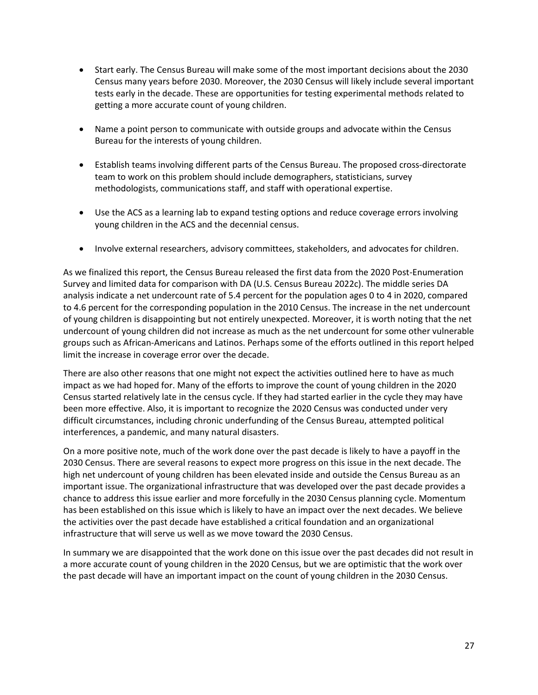- Start early. The Census Bureau will make some of the most important decisions about the 2030 Census many years before 2030. Moreover, the 2030 Census will likely include several important tests early in the decade. These are opportunities for testing experimental methods related to getting a more accurate count of young children.
- Name a point person to communicate with outside groups and advocate within the Census Bureau for the interests of young children.
- Establish teams involving different parts of the Census Bureau. The proposed cross-directorate team to work on this problem should include demographers, statisticians, survey methodologists, communications staff, and staff with operational expertise.
- Use the ACS as a learning lab to expand testing options and reduce coverage errors involving young children in the ACS and the decennial census.
- Involve external researchers, advisory committees, stakeholders, and advocates for children.

As we finalized this report, the Census Bureau released the first data from the 2020 Post-Enumeration Survey and limited data for comparison with DA (U.S. Census Bureau 2022c). The middle series DA analysis indicate a net undercount rate of 5.4 percent for the population ages 0 to 4 in 2020, compared to 4.6 percent for the corresponding population in the 2010 Census. The increase in the net undercount of young children is disappointing but not entirely unexpected. Moreover, it is worth noting that the net undercount of young children did not increase as much as the net undercount for some other vulnerable groups such as African-Americans and Latinos. Perhaps some of the efforts outlined in this report helped limit the increase in coverage error over the decade.

There are also other reasons that one might not expect the activities outlined here to have as much impact as we had hoped for. Many of the efforts to improve the count of young children in the 2020 Census started relatively late in the census cycle. If they had started earlier in the cycle they may have been more effective. Also, it is important to recognize the 2020 Census was conducted under very difficult circumstances, including chronic underfunding of the Census Bureau, attempted political interferences, a pandemic, and many natural disasters.

On a more positive note, much of the work done over the past decade is likely to have a payoff in the 2030 Census. There are several reasons to expect more progress on this issue in the next decade. The high net undercount of young children has been elevated inside and outside the Census Bureau as an important issue. The organizational infrastructure that was developed over the past decade provides a chance to address this issue earlier and more forcefully in the 2030 Census planning cycle. Momentum has been established on this issue which is likely to have an impact over the next decades. We believe the activities over the past decade have established a critical foundation and an organizational infrastructure that will serve us well as we move toward the 2030 Census.

In summary we are disappointed that the work done on this issue over the past decades did not result in a more accurate count of young children in the 2020 Census, but we are optimistic that the work over the past decade will have an important impact on the count of young children in the 2030 Census.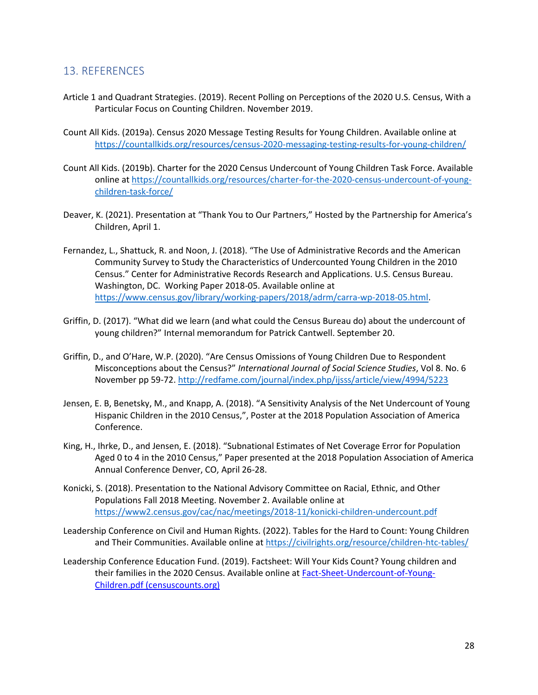## 13. REFERENCES

- Article 1 and Quadrant Strategies. (2019). Recent Polling on Perceptions of the 2020 U.S. Census, With a Particular Focus on Counting Children. November 2019.
- Count All Kids. (2019a). Census 2020 Message Testing Results for Young Children. Available online at <https://countallkids.org/resources/census-2020-messaging-testing-results-for-young-children/>
- Count All Kids. (2019b). Charter for the 2020 Census Undercount of Young Children Task Force. Available online at [https://countallkids.org/resources/charter-for-the-2020-census-undercount-of-young](https://countallkids.org/resources/charter-for-the-2020-census-undercount-of-young-children-task-force/)[children-task-force/](https://countallkids.org/resources/charter-for-the-2020-census-undercount-of-young-children-task-force/)
- Deaver, K. (2021). Presentation at "Thank You to Our Partners," Hosted by the Partnership for America's Children, April 1.
- Fernandez, L., Shattuck, R. and Noon, J. (2018). "The Use of Administrative Records and the American Community Survey to Study the Characteristics of Undercounted Young Children in the 2010 Census." Center for Administrative Records Research and Applications. U.S. Census Bureau. Washington, DC. Working Paper 2018-05. Available online at [https://www.census.gov/library/working-papers/2018/adrm/carra-wp-2018-05.html.](https://www.census.gov/library/working-papers/2018/adrm/carra-wp-2018-05.html)
- Griffin, D. (2017). "What did we learn (and what could the Census Bureau do) about the undercount of young children?" Internal memorandum for Patrick Cantwell. September 20.
- Griffin, D., and O'Hare, W.P. (2020). "Are Census Omissions of Young Children Due to Respondent Misconceptions about the Census?" *International Journal of Social Science Studies*, Vol 8. No. 6 November pp 59-72[. http://redfame.com/journal/index.php/ijsss/article/view/4994/5223](http://redfame.com/journal/index.php/ijsss/article/view/4994/5223)
- Jensen, E. B, Benetsky, M., and Knapp, A. (2018). "A Sensitivity Analysis of the Net Undercount of Young Hispanic Children in the 2010 Census,", Poster at the 2018 Population Association of America Conference.
- King, H., Ihrke, D., and Jensen, E. (2018). "Subnational Estimates of Net Coverage Error for Population Aged 0 to 4 in the 2010 Census," Paper presented at the 2018 Population Association of America Annual Conference Denver, CO, April 26-28.
- Konicki, S. (2018). Presentation to the National Advisory Committee on Racial, Ethnic, and Other Populations Fall 2018 Meeting. November 2. Available online at <https://www2.census.gov/cac/nac/meetings/2018-11/konicki-children-undercount.pdf>
- Leadership Conference on Civil and Human Rights. (2022). Tables for the Hard to Count: Young Children and Their Communities. Available online at<https://civilrights.org/resource/children-htc-tables/>
- Leadership Conference Education Fund. (2019). Factsheet: Will Your Kids Count? Young children and their families in the 2020 Census. Available online at [Fact-Sheet-Undercount-of-Young-](https://censuscounts.org/wp-content/uploads/2019/03/Fact-Sheet-Undercount-of-Young-Children.pdf)[Children.pdf \(censuscounts.org\)](https://censuscounts.org/wp-content/uploads/2019/03/Fact-Sheet-Undercount-of-Young-Children.pdf)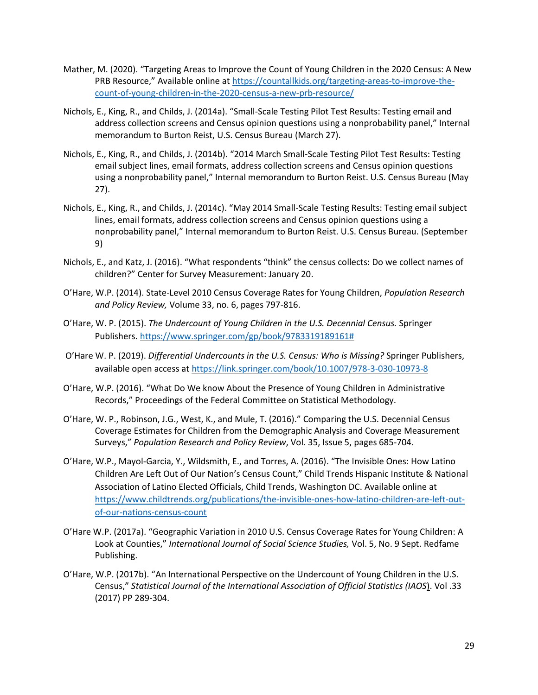- Mather, M. (2020). "Targeting Areas to Improve the Count of Young Children in the 2020 Census: A New PRB Resource," Available online at [https://countallkids.org/targeting-areas-to-improve-the](https://countallkids.org/targeting-areas-to-improve-the-count-of-young-children-in-the-2020-census-a-new-prb-resource/)[count-of-young-children-in-the-2020-census-a-new-prb-resource/](https://countallkids.org/targeting-areas-to-improve-the-count-of-young-children-in-the-2020-census-a-new-prb-resource/)
- Nichols, E., King, R., and Childs, J. (2014a). "Small-Scale Testing Pilot Test Results: Testing email and address collection screens and Census opinion questions using a nonprobability panel," Internal memorandum to Burton Reist, U.S. Census Bureau (March 27).
- Nichols, E., King, R., and Childs, J. (2014b). "2014 March Small-Scale Testing Pilot Test Results: Testing email subject lines, email formats, address collection screens and Census opinion questions using a nonprobability panel," Internal memorandum to Burton Reist. U.S. Census Bureau (May 27).
- Nichols, E., King, R., and Childs, J. (2014c). "May 2014 Small-Scale Testing Results: Testing email subject lines, email formats, address collection screens and Census opinion questions using a nonprobability panel," Internal memorandum to Burton Reist. U.S. Census Bureau. (September 9)
- Nichols, E., and Katz, J. (2016). "What respondents "think" the census collects: Do we collect names of children?" Center for Survey Measurement: January 20.
- O'Hare, W.P. (2014). State-Level 2010 Census Coverage Rates for Young Children, *Population Research and Policy Review,* Volume 33, no. 6, pages 797-816.
- O'Hare, W. P. (2015). *The Undercount of Young Children in the U.S. Decennial Census.* Springer Publishers. [https://www.springer.com/gp/book/9783319189161#](https://www.springer.com/gp/book/9783319189161)
- O'Hare W. P. (2019). *Differential Undercounts in the U.S. Census: Who is Missing?* Springer Publishers, available open access at<https://link.springer.com/book/10.1007/978-3-030-10973-8>
- O'Hare, W.P. (2016). "What Do We know About the Presence of Young Children in Administrative Records," Proceedings of the Federal Committee on Statistical Methodology.
- O'Hare, W. P., Robinson, J.G., West, K., and Mule, T. (2016)." Comparing the U.S. Decennial Census Coverage Estimates for Children from the Demographic Analysis and Coverage Measurement Surveys," *Population Research and Policy Review*, Vol. 35, Issue 5, pages 685-704.
- O'Hare, W.P., Mayol-Garcia, Y., Wildsmith, E., and Torres, A. (2016). "The Invisible Ones: How Latino Children Are Left Out of Our Nation's Census Count," Child Trends Hispanic Institute & National Association of Latino Elected Officials, Child Trends, Washington DC. Available online at [https://www.childtrends.org/publications/the-invisible-ones-how-latino-children-are-left-out](https://www.childtrends.org/publications/the-invisible-ones-how-latino-children-are-left-out-of-our-nations-census-count)[of-our-nations-census-count](https://www.childtrends.org/publications/the-invisible-ones-how-latino-children-are-left-out-of-our-nations-census-count)
- O'Hare W.P. (2017a). "Geographic Variation in 2010 U.S. Census Coverage Rates for Young Children: A Look at Counties," *International Journal of Social Science Studies,* Vol. 5, No. 9 Sept. Redfame Publishing.
- O'Hare, W.P. (2017b). "An International Perspective on the Undercount of Young Children in the U.S. Census," *Statistical Journal of the International Association of Official Statistics (IAOS*). Vol .33 (2017) PP 289-304.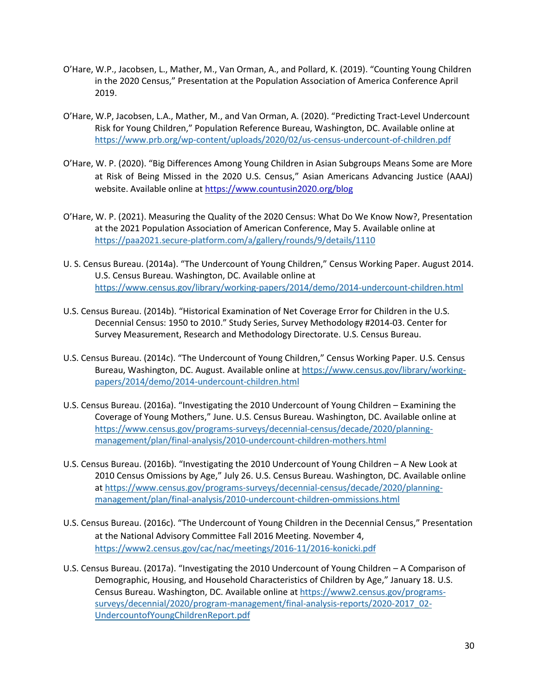- O'Hare, W.P., Jacobsen, L., Mather, M., Van Orman, A., and Pollard, K. (2019). "Counting Young Children in the 2020 Census," Presentation at the Population Association of America Conference April 2019.
- O'Hare, W.P, Jacobsen, L.A., Mather, M., and Van Orman, A. (2020). "Predicting Tract-Level Undercount Risk for Young Children," Population Reference Bureau, Washington, DC. Available online at <https://www.prb.org/wp-content/uploads/2020/02/us-census-undercount-of-children.pdf>
- O'Hare, W. P. (2020). "Big Differences Among Young Children in Asian Subgroups Means Some are More at Risk of Being Missed in the 2020 U.S. Census," Asian Americans Advancing Justice (AAAJ) website. Available online at <https://www.countusin2020.org/blog>
- O'Hare, W. P. (2021). Measuring the Quality of the 2020 Census: What Do We Know Now?, Presentation at the 2021 Population Association of American Conference, May 5. Available online at <https://paa2021.secure-platform.com/a/gallery/rounds/9/details/1110>
- U. S. Census Bureau. (2014a). "The Undercount of Young Children," Census Working Paper. August 2014. U.S. Census Bureau. Washington, DC. Available online at <https://www.census.gov/library/working-papers/2014/demo/2014-undercount-children.html>
- U.S. Census Bureau. (2014b). "Historical Examination of Net Coverage Error for Children in the U.S. Decennial Census: 1950 to 2010." Study Series, Survey Methodology #2014-03. Center for Survey Measurement, Research and Methodology Directorate. U.S. Census Bureau.
- U.S. Census Bureau. (2014c). "The Undercount of Young Children," Census Working Paper. U.S. Census Bureau, Washington, DC. August. Available online at [https://www.census.gov/library/working](https://www.census.gov/library/working-papers/2014/demo/2014-undercount-children.html)[papers/2014/demo/2014-undercount-children.html](https://www.census.gov/library/working-papers/2014/demo/2014-undercount-children.html)
- U.S. Census Bureau. (2016a). "Investigating the 2010 Undercount of Young Children Examining the Coverage of Young Mothers," June. U.S. Census Bureau. Washington, DC. Available online at [https://www.census.gov/programs-surveys/decennial-census/decade/2020/planning](https://www.census.gov/programs-surveys/decennial-census/decade/2020/planning-management/plan/final-analysis/2010-undercount-children-mothers.html)[management/plan/final-analysis/2010-undercount-children-mothers.html](https://www.census.gov/programs-surveys/decennial-census/decade/2020/planning-management/plan/final-analysis/2010-undercount-children-mothers.html)
- U.S. Census Bureau. (2016b). "Investigating the 2010 Undercount of Young Children A New Look at 2010 Census Omissions by Age," July 26. U.S. Census Bureau. Washington, DC. Available online at [https://www.census.gov/programs-surveys/decennial-census/decade/2020/planning](https://www.census.gov/programs-surveys/decennial-census/decade/2020/planning-management/plan/final-analysis/2010-undercount-children-ommissions.html)[management/plan/final-analysis/2010-undercount-children-ommissions.html](https://www.census.gov/programs-surveys/decennial-census/decade/2020/planning-management/plan/final-analysis/2010-undercount-children-ommissions.html)
- U.S. Census Bureau. (2016c). "The Undercount of Young Children in the Decennial Census," Presentation at the National Advisory Committee Fall 2016 Meeting. November 4, <https://www2.census.gov/cac/nac/meetings/2016-11/2016-konicki.pdf>
- U.S. Census Bureau. (2017a). "Investigating the 2010 Undercount of Young Children A Comparison of Demographic, Housing, and Household Characteristics of Children by Age," January 18. U.S. Census Bureau. Washington, DC. Available online at [https://www2.census.gov/programs](https://www2.census.gov/programs-surveys/decennial/2020/program-management/final-analysis-reports/2020-2017_02-UndercountofYoungChildrenReport.pdf)[surveys/decennial/2020/program-management/final-analysis-reports/2020-2017\\_02-](https://www2.census.gov/programs-surveys/decennial/2020/program-management/final-analysis-reports/2020-2017_02-UndercountofYoungChildrenReport.pdf) [UndercountofYoungChildrenReport.pdf](https://www2.census.gov/programs-surveys/decennial/2020/program-management/final-analysis-reports/2020-2017_02-UndercountofYoungChildrenReport.pdf)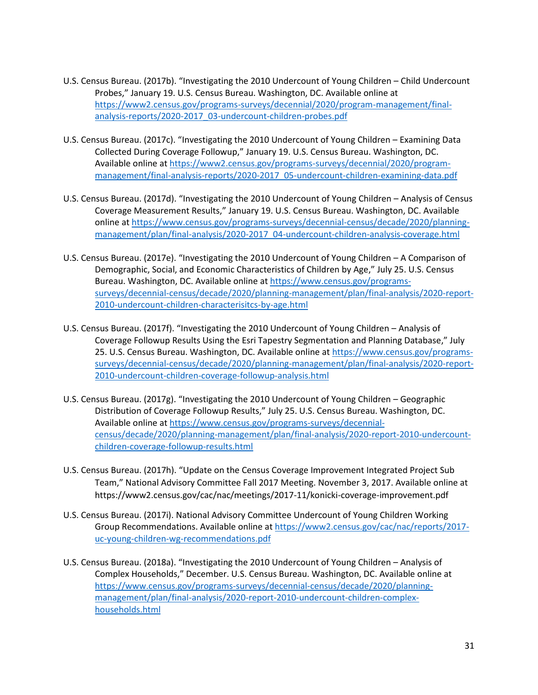- U.S. Census Bureau. (2017b). "Investigating the 2010 Undercount of Young Children Child Undercount Probes," January 19. U.S. Census Bureau. Washington, DC. Available online at [https://www2.census.gov/programs-surveys/decennial/2020/program-management/final](https://www2.census.gov/programs-surveys/decennial/2020/program-management/final-analysis-reports/2020-2017_03-undercount-children-probes.pdf)[analysis-reports/2020-2017\\_03-undercount-children-probes.pdf](https://www2.census.gov/programs-surveys/decennial/2020/program-management/final-analysis-reports/2020-2017_03-undercount-children-probes.pdf)
- U.S. Census Bureau. (2017c). "Investigating the 2010 Undercount of Young Children Examining Data Collected During Coverage Followup," January 19. U.S. Census Bureau. Washington, DC. Available online at [https://www2.census.gov/programs-surveys/decennial/2020/program](https://www2.census.gov/programs-surveys/decennial/2020/program-management/final-analysis-reports/2020-2017_05-undercount-children-examining-data.pdf)[management/final-analysis-reports/2020-2017\\_05-undercount-children-examining-data.pdf](https://www2.census.gov/programs-surveys/decennial/2020/program-management/final-analysis-reports/2020-2017_05-undercount-children-examining-data.pdf)
- U.S. Census Bureau. (2017d). "Investigating the 2010 Undercount of Young Children Analysis of Census Coverage Measurement Results," January 19. U.S. Census Bureau. Washington, DC. Available online at [https://www.census.gov/programs-surveys/decennial-census/decade/2020/planning](https://www.census.gov/programs-surveys/decennial-census/decade/2020/planning-management/plan/final-analysis/2020-2017_04-undercount-children-analysis-coverage.html)[management/plan/final-analysis/2020-2017\\_04-undercount-children-analysis-coverage.html](https://www.census.gov/programs-surveys/decennial-census/decade/2020/planning-management/plan/final-analysis/2020-2017_04-undercount-children-analysis-coverage.html)
- U.S. Census Bureau. (2017e). "Investigating the 2010 Undercount of Young Children A Comparison of Demographic, Social, and Economic Characteristics of Children by Age," July 25. U.S. Census Bureau. Washington, DC. Available online at [https://www.census.gov/programs](https://www.census.gov/programs-surveys/decennial-census/decade/2020/planning-management/plan/final-analysis/2020-report-2010-undercount-children-characterisitcs-by-age.html)[surveys/decennial-census/decade/2020/planning-management/plan/final-analysis/2020-report-](https://www.census.gov/programs-surveys/decennial-census/decade/2020/planning-management/plan/final-analysis/2020-report-2010-undercount-children-characterisitcs-by-age.html)[2010-undercount-children-characterisitcs-by-age.html](https://www.census.gov/programs-surveys/decennial-census/decade/2020/planning-management/plan/final-analysis/2020-report-2010-undercount-children-characterisitcs-by-age.html)
- U.S. Census Bureau. (2017f). "Investigating the 2010 Undercount of Young Children Analysis of Coverage Followup Results Using the Esri Tapestry Segmentation and Planning Database," July 25. U.S. Census Bureau. Washington, DC. Available online at [https://www.census.gov/programs](https://www.census.gov/programs-surveys/decennial-census/decade/2020/planning-management/plan/final-analysis/2020-report-2010-undercount-children-coverage-followup-analysis.html)[surveys/decennial-census/decade/2020/planning-management/plan/final-analysis/2020-report-](https://www.census.gov/programs-surveys/decennial-census/decade/2020/planning-management/plan/final-analysis/2020-report-2010-undercount-children-coverage-followup-analysis.html)[2010-undercount-children-coverage-followup-analysis.html](https://www.census.gov/programs-surveys/decennial-census/decade/2020/planning-management/plan/final-analysis/2020-report-2010-undercount-children-coverage-followup-analysis.html)
- U.S. Census Bureau. (2017g). "Investigating the 2010 Undercount of Young Children Geographic Distribution of Coverage Followup Results," July 25. U.S. Census Bureau. Washington, DC. Available online at [https://www.census.gov/programs-surveys/decennial](https://www.census.gov/programs-surveys/decennial-census/decade/2020/planning-management/plan/final-analysis/2020-report-2010-undercount-children-coverage-followup-results.html)[census/decade/2020/planning-management/plan/final-analysis/2020-report-2010-undercount](https://www.census.gov/programs-surveys/decennial-census/decade/2020/planning-management/plan/final-analysis/2020-report-2010-undercount-children-coverage-followup-results.html)[children-coverage-followup-results.html](https://www.census.gov/programs-surveys/decennial-census/decade/2020/planning-management/plan/final-analysis/2020-report-2010-undercount-children-coverage-followup-results.html)
- U.S. Census Bureau. (2017h). "Update on the Census Coverage Improvement Integrated Project Sub Team," National Advisory Committee Fall 2017 Meeting. November 3, 2017. Available online at https://www2.census.gov/cac/nac/meetings/2017-11/konicki-coverage-improvement.pdf
- U.S. Census Bureau. (2017i). National Advisory Committee Undercount of Young Children Working Group Recommendations. Available online a[t https://www2.census.gov/cac/nac/reports/2017](https://www2.census.gov/cac/nac/reports/2017-uc-young-children-wg-recommendations.pdf) [uc-young-children-wg-recommendations.pdf](https://www2.census.gov/cac/nac/reports/2017-uc-young-children-wg-recommendations.pdf)
- U.S. Census Bureau. (2018a). "Investigating the 2010 Undercount of Young Children Analysis of Complex Households," December. U.S. Census Bureau. Washington, DC. Available online at [https://www.census.gov/programs-surveys/decennial-census/decade/2020/planning](https://www.census.gov/programs-surveys/decennial-census/decade/2020/planning-management/plan/final-analysis/2020-report-2010-undercount-children-complex-households.html)[management/plan/final-analysis/2020-report-2010-undercount-children-complex](https://www.census.gov/programs-surveys/decennial-census/decade/2020/planning-management/plan/final-analysis/2020-report-2010-undercount-children-complex-households.html)[households.html](https://www.census.gov/programs-surveys/decennial-census/decade/2020/planning-management/plan/final-analysis/2020-report-2010-undercount-children-complex-households.html)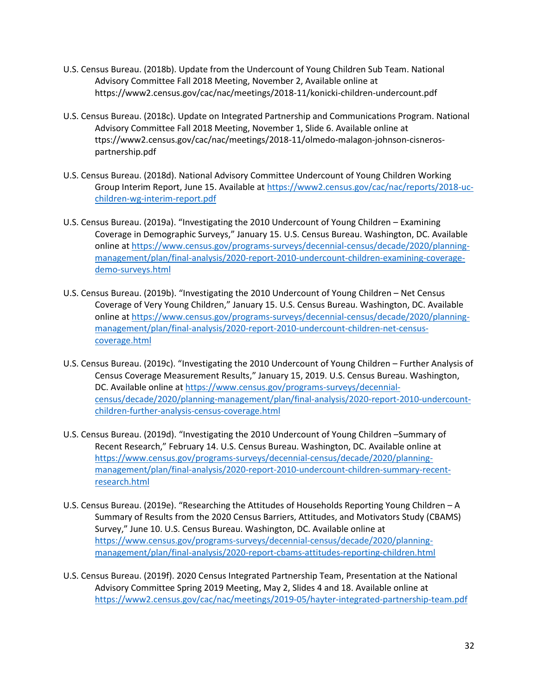- U.S. Census Bureau. (2018b). Update from the Undercount of Young Children Sub Team. National Advisory Committee Fall 2018 Meeting, November 2, Available online at https://www2.census.gov/cac/nac/meetings/2018-11/konicki-children-undercount.pdf
- U.S. Census Bureau. (2018c). Update on Integrated Partnership and Communications Program. National Advisory Committee Fall 2018 Meeting, November 1, Slide 6. Available online at ttps://www2.census.gov/cac/nac/meetings/2018-11/olmedo-malagon-johnson-cisnerospartnership.pdf
- U.S. Census Bureau. (2018d). National Advisory Committee Undercount of Young Children Working Group Interim Report, June 15. Available at [https://www2.census.gov/cac/nac/reports/2018-uc](https://www2.census.gov/cac/nac/reports/2018-uc-children-wg-interim-report.pdf)[children-wg-interim-report.pdf](https://www2.census.gov/cac/nac/reports/2018-uc-children-wg-interim-report.pdf)
- U.S. Census Bureau. (2019a). "Investigating the 2010 Undercount of Young Children Examining Coverage in Demographic Surveys," January 15. U.S. Census Bureau. Washington, DC. Available online at [https://www.census.gov/programs-surveys/decennial-census/decade/2020/planning](https://www.census.gov/programs-surveys/decennial-census/decade/2020/planning-management/plan/final-analysis/2020-report-2010-undercount-children-examining-coverage-demo-surveys.html)[management/plan/final-analysis/2020-report-2010-undercount-children-examining-coverage](https://www.census.gov/programs-surveys/decennial-census/decade/2020/planning-management/plan/final-analysis/2020-report-2010-undercount-children-examining-coverage-demo-surveys.html)[demo-surveys.html](https://www.census.gov/programs-surveys/decennial-census/decade/2020/planning-management/plan/final-analysis/2020-report-2010-undercount-children-examining-coverage-demo-surveys.html)
- U.S. Census Bureau. (2019b). "Investigating the 2010 Undercount of Young Children Net Census Coverage of Very Young Children," January 15. U.S. Census Bureau. Washington, DC. Available online at [https://www.census.gov/programs-surveys/decennial-census/decade/2020/planning](https://www.census.gov/programs-surveys/decennial-census/decade/2020/planning-management/plan/final-analysis/2020-report-2010-undercount-children-net-census-coverage.html)[management/plan/final-analysis/2020-report-2010-undercount-children-net-census](https://www.census.gov/programs-surveys/decennial-census/decade/2020/planning-management/plan/final-analysis/2020-report-2010-undercount-children-net-census-coverage.html)[coverage.html](https://www.census.gov/programs-surveys/decennial-census/decade/2020/planning-management/plan/final-analysis/2020-report-2010-undercount-children-net-census-coverage.html)
- U.S. Census Bureau. (2019c). "Investigating the 2010 Undercount of Young Children Further Analysis of Census Coverage Measurement Results," January 15, 2019. U.S. Census Bureau. Washington, DC. Available online at [https://www.census.gov/programs-surveys/decennial](https://www.census.gov/programs-surveys/decennial-census/decade/2020/planning-management/plan/final-analysis/2020-report-2010-undercount-children-further-analysis-census-coverage.html)[census/decade/2020/planning-management/plan/final-analysis/2020-report-2010-undercount](https://www.census.gov/programs-surveys/decennial-census/decade/2020/planning-management/plan/final-analysis/2020-report-2010-undercount-children-further-analysis-census-coverage.html)[children-further-analysis-census-coverage.html](https://www.census.gov/programs-surveys/decennial-census/decade/2020/planning-management/plan/final-analysis/2020-report-2010-undercount-children-further-analysis-census-coverage.html)
- U.S. Census Bureau. (2019d). "Investigating the 2010 Undercount of Young Children –Summary of Recent Research," February 14. U.S. Census Bureau. Washington, DC. Available online at [https://www.census.gov/programs-surveys/decennial-census/decade/2020/planning](https://www.census.gov/programs-surveys/decennial-census/decade/2020/planning-management/plan/final-analysis/2020-report-2010-undercount-children-summary-recent-research.html)[management/plan/final-analysis/2020-report-2010-undercount-children-summary-recent](https://www.census.gov/programs-surveys/decennial-census/decade/2020/planning-management/plan/final-analysis/2020-report-2010-undercount-children-summary-recent-research.html)[research.html](https://www.census.gov/programs-surveys/decennial-census/decade/2020/planning-management/plan/final-analysis/2020-report-2010-undercount-children-summary-recent-research.html)
- U.S. Census Bureau. (2019e). "Researching the Attitudes of Households Reporting Young Children A Summary of Results from the 2020 Census Barriers, Attitudes, and Motivators Study (CBAMS) Survey," June 10. U.S. Census Bureau. Washington, DC. Available online at [https://www.census.gov/programs-surveys/decennial-census/decade/2020/planning](https://www.census.gov/programs-surveys/decennial-census/decade/2020/planning-management/plan/final-analysis/2020-report-cbams-attitudes-reporting-children.html)[management/plan/final-analysis/2020-report-cbams-attitudes-reporting-children.html](https://www.census.gov/programs-surveys/decennial-census/decade/2020/planning-management/plan/final-analysis/2020-report-cbams-attitudes-reporting-children.html)
- U.S. Census Bureau. (2019f). 2020 Census Integrated Partnership Team, Presentation at the National Advisory Committee Spring 2019 Meeting, May 2, Slides 4 and 18. Available online at <https://www2.census.gov/cac/nac/meetings/2019-05/hayter-integrated-partnership-team.pdf>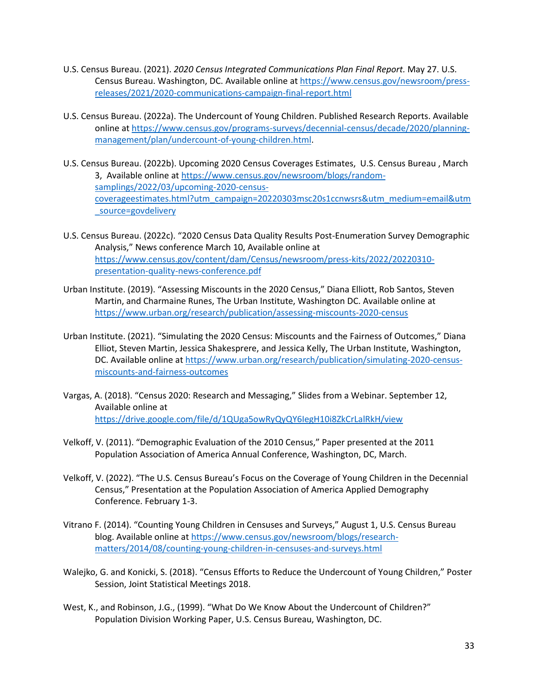- U.S. Census Bureau. (2021). *2020 Census Integrated Communications Plan Final Report.* May 27. U.S. Census Bureau. Washington, DC. Available online at [https://www.census.gov/newsroom/press](https://www.census.gov/newsroom/press-releases/2021/2020-communications-campaign-final-report.html)[releases/2021/2020-communications-campaign-final-report.html](https://www.census.gov/newsroom/press-releases/2021/2020-communications-campaign-final-report.html)
- U.S. Census Bureau. (2022a). The Undercount of Young Children. Published Research Reports. Available online at [https://www.census.gov/programs-surveys/decennial-census/decade/2020/planning](https://www.census.gov/programs-surveys/decennial-census/decade/2020/planning-management/plan/undercount-of-young-children.html)[management/plan/undercount-of-young-children.html.](https://www.census.gov/programs-surveys/decennial-census/decade/2020/planning-management/plan/undercount-of-young-children.html)
- U.S. Census Bureau. (2022b). Upcoming 2020 Census Coverages Estimates, U.S. Census Bureau , March 3, Available online at [https://www.census.gov/newsroom/blogs/random](https://www.census.gov/newsroom/blogs/random-samplings/2022/03/upcoming-2020-census-coverageestimates.html?utm_campaign=20220303msc20s1ccnwsrs&utm_medium=email&utm_source=govdelivery)[samplings/2022/03/upcoming-2020-census](https://www.census.gov/newsroom/blogs/random-samplings/2022/03/upcoming-2020-census-coverageestimates.html?utm_campaign=20220303msc20s1ccnwsrs&utm_medium=email&utm_source=govdelivery)[coverageestimates.html?utm\\_campaign=20220303msc20s1ccnwsrs&utm\\_medium=email&utm](https://www.census.gov/newsroom/blogs/random-samplings/2022/03/upcoming-2020-census-coverageestimates.html?utm_campaign=20220303msc20s1ccnwsrs&utm_medium=email&utm_source=govdelivery) [\\_source=govdelivery](https://www.census.gov/newsroom/blogs/random-samplings/2022/03/upcoming-2020-census-coverageestimates.html?utm_campaign=20220303msc20s1ccnwsrs&utm_medium=email&utm_source=govdelivery)
- U.S. Census Bureau. (2022c). "2020 Census Data Quality Results Post-Enumeration Survey Demographic Analysis," News conference March 10, Available online at [https://www.census.gov/content/dam/Census/newsroom/press-kits/2022/20220310](https://www.census.gov/content/dam/Census/newsroom/press-kits/2022/20220310-presentation-quality-news-conference.pdf) [presentation-quality-news-conference.pdf](https://www.census.gov/content/dam/Census/newsroom/press-kits/2022/20220310-presentation-quality-news-conference.pdf)
- Urban Institute. (2019). "Assessing Miscounts in the 2020 Census," Diana Elliott, Rob Santos, Steven Martin, and Charmaine Runes, The Urban Institute, Washington DC. Available online at <https://www.urban.org/research/publication/assessing-miscounts-2020-census>
- Urban Institute. (2021). "Simulating the 2020 Census: Miscounts and the Fairness of Outcomes," Diana Elliot, Steven Martin, Jessica Shakesprere, and Jessica Kelly, The Urban Institute, Washington, DC. Available online at [https://www.urban.org/research/publication/simulating-2020-census](https://www.urban.org/research/publication/simulating-2020-census-miscounts-and-fairness-outcomes)[miscounts-and-fairness-outcomes](https://www.urban.org/research/publication/simulating-2020-census-miscounts-and-fairness-outcomes)
- Vargas, A. (2018). "Census 2020: Research and Messaging," Slides from a Webinar. September 12, Available online at <https://drive.google.com/file/d/1QUga5owRyQyQY6IegH10i8ZkCrLalRkH/view>
- Velkoff, V. (2011). "Demographic Evaluation of the 2010 Census," Paper presented at the 2011 Population Association of America Annual Conference, Washington, DC, March.
- Velkoff, V. (2022). "The U.S. Census Bureau's Focus on the Coverage of Young Children in the Decennial Census," Presentation at the Population Association of America Applied Demography Conference. February 1-3.
- Vitrano F. (2014). "Counting Young Children in Censuses and Surveys," August 1, U.S. Census Bureau blog. Available online at [https://www.census.gov/newsroom/blogs/research](https://www.census.gov/newsroom/blogs/research-matters/2014/08/counting-young-children-in-censuses-and-surveys.html)[matters/2014/08/counting-young-children-in-censuses-and-surveys.html](https://www.census.gov/newsroom/blogs/research-matters/2014/08/counting-young-children-in-censuses-and-surveys.html)
- Walejko, G. and Konicki, S. (2018). "Census Efforts to Reduce the Undercount of Young Children," Poster Session, Joint Statistical Meetings 2018.
- West, K., and Robinson, J.G., (1999). "What Do We Know About the Undercount of Children?" Population Division Working Paper, U.S. Census Bureau, Washington, DC.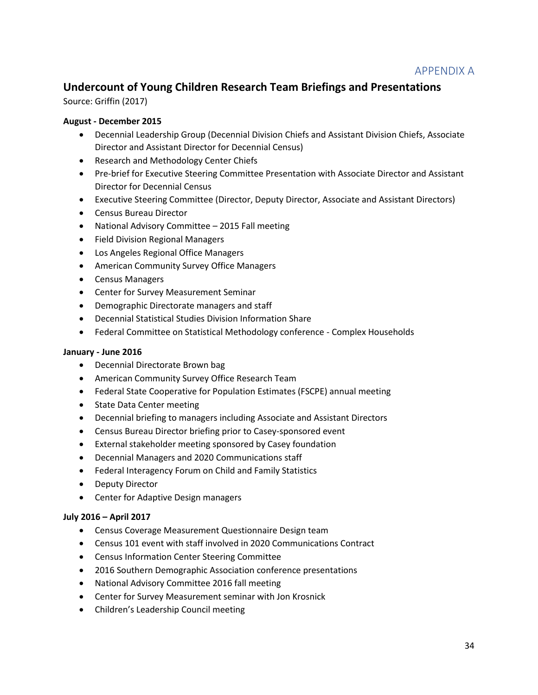# APPENDIX A

# **Undercount of Young Children Research Team Briefings and Presentations**

Source: Griffin (2017)

## **August - December 2015**

- Decennial Leadership Group (Decennial Division Chiefs and Assistant Division Chiefs, Associate Director and Assistant Director for Decennial Census)
- Research and Methodology Center Chiefs
- Pre-brief for Executive Steering Committee Presentation with Associate Director and Assistant Director for Decennial Census
- Executive Steering Committee (Director, Deputy Director, Associate and Assistant Directors)
- Census Bureau Director
- National Advisory Committee 2015 Fall meeting
- Field Division Regional Managers
- Los Angeles Regional Office Managers
- American Community Survey Office Managers
- Census Managers
- Center for Survey Measurement Seminar
- Demographic Directorate managers and staff
- Decennial Statistical Studies Division Information Share
- Federal Committee on Statistical Methodology conference Complex Households

#### **January - June 2016**

- Decennial Directorate Brown bag
- American Community Survey Office Research Team
- Federal State Cooperative for Population Estimates (FSCPE) annual meeting
- State Data Center meeting
- Decennial briefing to managers including Associate and Assistant Directors
- Census Bureau Director briefing prior to Casey-sponsored event
- External stakeholder meeting sponsored by Casey foundation
- Decennial Managers and 2020 Communications staff
- Federal Interagency Forum on Child and Family Statistics
- Deputy Director
- Center for Adaptive Design managers

#### **July 2016 – April 2017**

- Census Coverage Measurement Questionnaire Design team
- Census 101 event with staff involved in 2020 Communications Contract
- Census Information Center Steering Committee
- 2016 Southern Demographic Association conference presentations
- National Advisory Committee 2016 fall meeting
- Center for Survey Measurement seminar with Jon Krosnick
- Children's Leadership Council meeting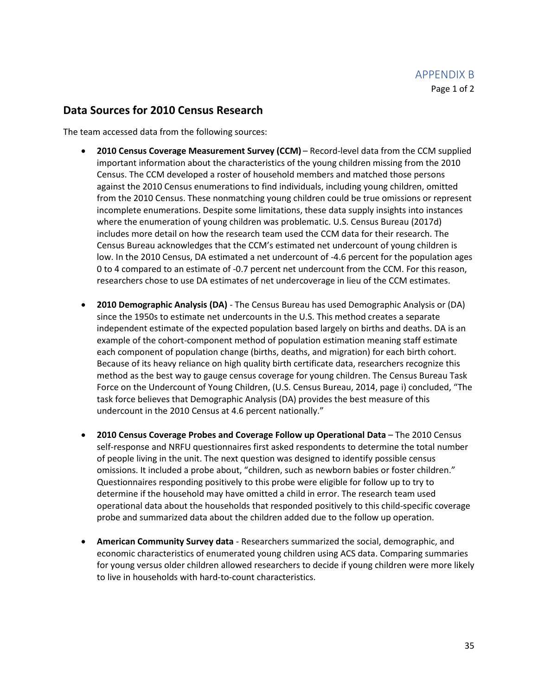## **Data Sources for 2010 Census Research**

The team accessed data from the following sources:

- **2010 Census Coverage Measurement Survey (CCM)** Record-level data from the CCM supplied important information about the characteristics of the young children missing from the 2010 Census. The CCM developed a roster of household members and matched those persons against the 2010 Census enumerations to find individuals, including young children, omitted from the 2010 Census. These nonmatching young children could be true omissions or represent incomplete enumerations. Despite some limitations, these data supply insights into instances where the enumeration of young children was problematic. U.S. Census Bureau (2017d) includes more detail on how the research team used the CCM data for their research. The Census Bureau acknowledges that the CCM's estimated net undercount of young children is low. In the 2010 Census, DA estimated a net undercount of -4.6 percent for the population ages 0 to 4 compared to an estimate of -0.7 percent net undercount from the CCM. For this reason, researchers chose to use DA estimates of net undercoverage in lieu of the CCM estimates.
- **2010 Demographic Analysis (DA)** The Census Bureau has used Demographic Analysis or (DA) since the 1950s to estimate net undercounts in the U.S. This method creates a separate independent estimate of the expected population based largely on births and deaths. DA is an example of the cohort-component method of population estimation meaning staff estimate each component of population change (births, deaths, and migration) for each birth cohort. Because of its heavy reliance on high quality birth certificate data, researchers recognize this method as the best way to gauge census coverage for young children. The Census Bureau Task Force on the Undercount of Young Children, (U.S. Census Bureau, 2014, page i) concluded, "The task force believes that Demographic Analysis (DA) provides the best measure of this undercount in the 2010 Census at 4.6 percent nationally."
- **2010 Census Coverage Probes and Coverage Follow up Operational Data** The 2010 Census self-response and NRFU questionnaires first asked respondents to determine the total number of people living in the unit. The next question was designed to identify possible census omissions. It included a probe about, "children, such as newborn babies or foster children." Questionnaires responding positively to this probe were eligible for follow up to try to determine if the household may have omitted a child in error. The research team used operational data about the households that responded positively to this child-specific coverage probe and summarized data about the children added due to the follow up operation.
- **American Community Survey data** Researchers summarized the social, demographic, and economic characteristics of enumerated young children using ACS data. Comparing summaries for young versus older children allowed researchers to decide if young children were more likely to live in households with hard-to-count characteristics.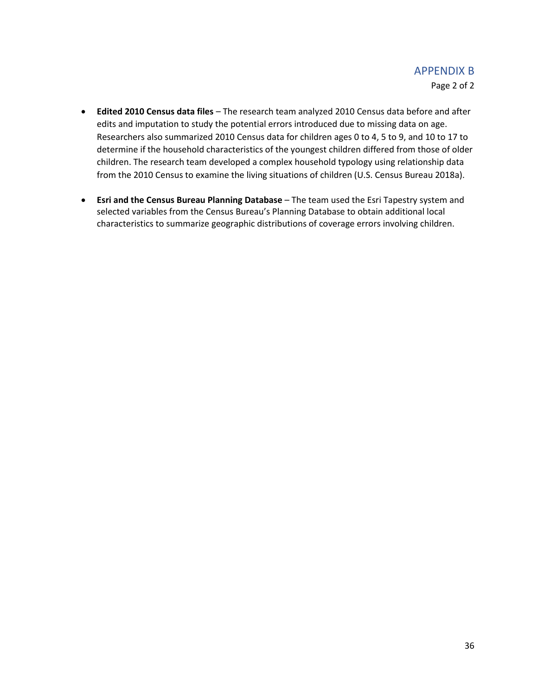# APPENDIX B

Page 2 of 2

- **Edited 2010 Census data files**  The research team analyzed 2010 Census data before and after edits and imputation to study the potential errors introduced due to missing data on age. Researchers also summarized 2010 Census data for children ages 0 to 4, 5 to 9, and 10 to 17 to determine if the household characteristics of the youngest children differed from those of older children. The research team developed a complex household typology using relationship data from the 2010 Census to examine the living situations of children (U.S. Census Bureau 2018a).
- **Esri and the Census Bureau Planning Database**  The team used the Esri Tapestry system and selected variables from the Census Bureau's Planning Database to obtain additional local characteristics to summarize geographic distributions of coverage errors involving children.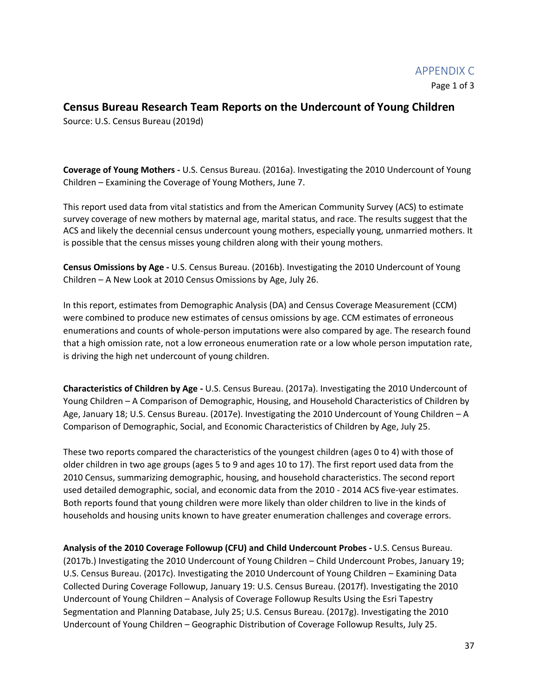## **Census Bureau Research Team Reports on the Undercount of Young Children**

Source: U.S. Census Bureau (2019d)

**Coverage of Young Mothers -** U.S. Census Bureau. (2016a). Investigating the 2010 Undercount of Young Children – Examining the Coverage of Young Mothers, June 7.

This report used data from vital statistics and from the American Community Survey (ACS) to estimate survey coverage of new mothers by maternal age, marital status, and race. The results suggest that the ACS and likely the decennial census undercount young mothers, especially young, unmarried mothers. It is possible that the census misses young children along with their young mothers.

**Census Omissions by Age -** U.S. Census Bureau. (2016b). Investigating the 2010 Undercount of Young Children – A New Look at 2010 Census Omissions by Age, July 26.

In this report, estimates from Demographic Analysis (DA) and Census Coverage Measurement (CCM) were combined to produce new estimates of census omissions by age. CCM estimates of erroneous enumerations and counts of whole-person imputations were also compared by age. The research found that a high omission rate, not a low erroneous enumeration rate or a low whole person imputation rate, is driving the high net undercount of young children.

**Characteristics of Children by Age -** U.S. Census Bureau. (2017a). Investigating the 2010 Undercount of Young Children – A Comparison of Demographic, Housing, and Household Characteristics of Children by Age, January 18; U.S. Census Bureau. (2017e). Investigating the 2010 Undercount of Young Children – A Comparison of Demographic, Social, and Economic Characteristics of Children by Age, July 25.

These two reports compared the characteristics of the youngest children (ages 0 to 4) with those of older children in two age groups (ages 5 to 9 and ages 10 to 17). The first report used data from the 2010 Census, summarizing demographic, housing, and household characteristics. The second report used detailed demographic, social, and economic data from the 2010 - 2014 ACS five-year estimates. Both reports found that young children were more likely than older children to live in the kinds of households and housing units known to have greater enumeration challenges and coverage errors.

**Analysis of the 2010 Coverage Followup (CFU) and Child Undercount Probes -** U.S. Census Bureau. (2017b.) Investigating the 2010 Undercount of Young Children – Child Undercount Probes, January 19; U.S. Census Bureau. (2017c). Investigating the 2010 Undercount of Young Children – Examining Data Collected During Coverage Followup, January 19: U.S. Census Bureau. (2017f). Investigating the 2010 Undercount of Young Children – Analysis of Coverage Followup Results Using the Esri Tapestry Segmentation and Planning Database, July 25; U.S. Census Bureau. (2017g). Investigating the 2010 Undercount of Young Children – Geographic Distribution of Coverage Followup Results, July 25.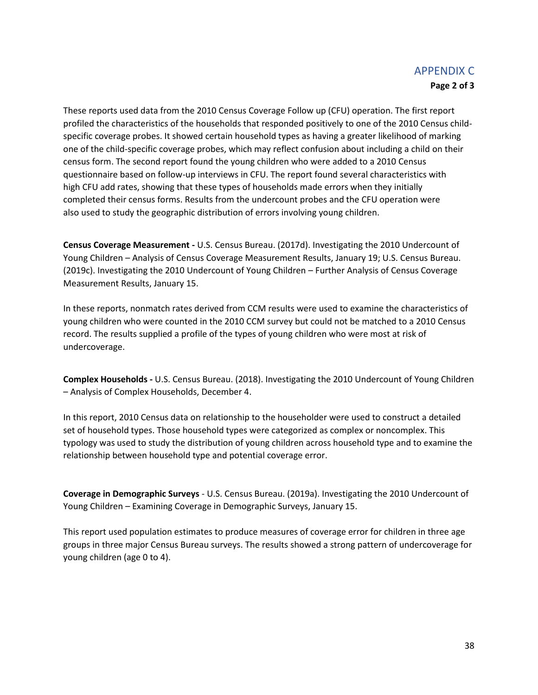## APPENDIX C **Page 2 of 3**

These reports used data from the 2010 Census Coverage Follow up (CFU) operation. The first report profiled the characteristics of the households that responded positively to one of the 2010 Census childspecific coverage probes. It showed certain household types as having a greater likelihood of marking one of the child-specific coverage probes, which may reflect confusion about including a child on their census form. The second report found the young children who were added to a 2010 Census questionnaire based on follow-up interviews in CFU. The report found several characteristics with high CFU add rates, showing that these types of households made errors when they initially completed their census forms. Results from the undercount probes and the CFU operation were also used to study the geographic distribution of errors involving young children.

**Census Coverage Measurement -** U.S. Census Bureau. (2017d). Investigating the 2010 Undercount of Young Children – Analysis of Census Coverage Measurement Results, January 19; U.S. Census Bureau. (2019c). Investigating the 2010 Undercount of Young Children – Further Analysis of Census Coverage Measurement Results, January 15.

In these reports, nonmatch rates derived from CCM results were used to examine the characteristics of young children who were counted in the 2010 CCM survey but could not be matched to a 2010 Census record. The results supplied a profile of the types of young children who were most at risk of undercoverage.

**Complex Households -** U.S. Census Bureau. (2018). Investigating the 2010 Undercount of Young Children – Analysis of Complex Households, December 4.

In this report, 2010 Census data on relationship to the householder were used to construct a detailed set of household types. Those household types were categorized as complex or noncomplex. This typology was used to study the distribution of young children across household type and to examine the relationship between household type and potential coverage error.

**Coverage in Demographic Surveys** - U.S. Census Bureau. (2019a). Investigating the 2010 Undercount of Young Children – Examining Coverage in Demographic Surveys, January 15.

This report used population estimates to produce measures of coverage error for children in three age groups in three major Census Bureau surveys. The results showed a strong pattern of undercoverage for young children (age 0 to 4).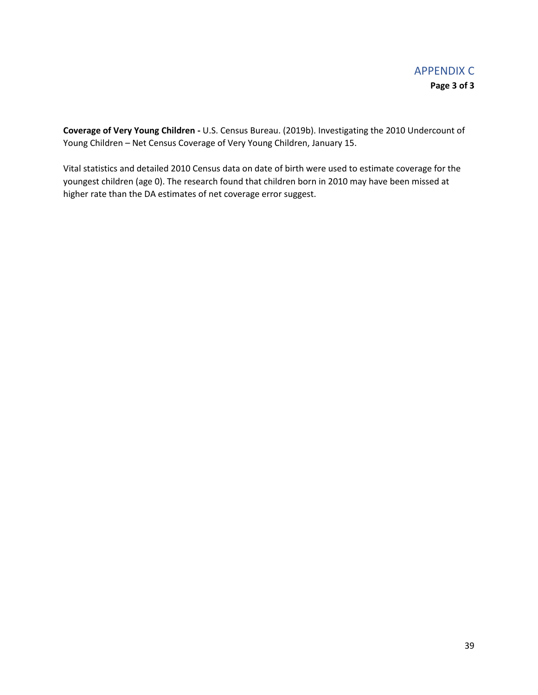**Coverage of Very Young Children -** U.S. Census Bureau. (2019b). Investigating the 2010 Undercount of Young Children – Net Census Coverage of Very Young Children, January 15.

Vital statistics and detailed 2010 Census data on date of birth were used to estimate coverage for the youngest children (age 0). The research found that children born in 2010 may have been missed at higher rate than the DA estimates of net coverage error suggest.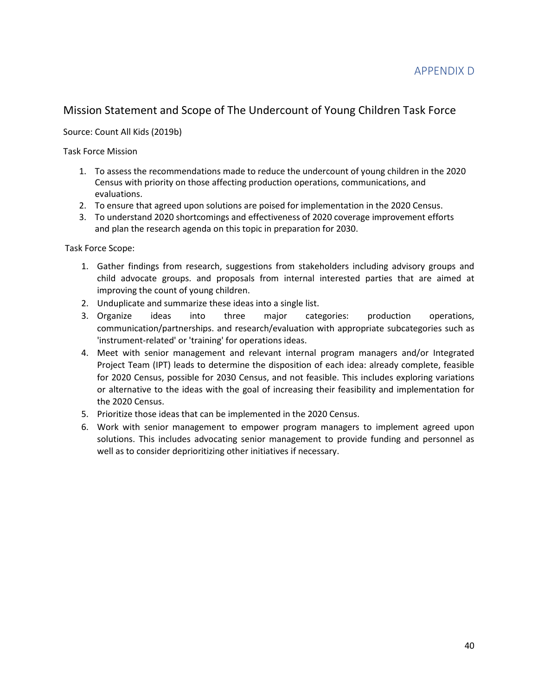# Mission Statement and Scope of The Undercount of Young Children Task Force

### Source: Count All Kids (2019b)

Task Force Mission

- 1. To assess the recommendations made to reduce the undercount of young children in the 2020 Census with priority on those affecting production operations, communications, and evaluations.
- 2. To ensure that agreed upon solutions are poised for implementation in the 2020 Census.
- 3. To understand 2020 shortcomings and effectiveness of 2020 coverage improvement efforts and plan the research agenda on this topic in preparation for 2030.

Task Force Scope:

- 1. Gather findings from research, suggestions from stakeholders including advisory groups and child advocate groups. and proposals from internal interested parties that are aimed at improving the count of young children.
- 2. Unduplicate and summarize these ideas into a single list.
- 3. Organize ideas into three major categories: production operations, communication/partnerships. and research/evaluation with appropriate subcategories such as 'instrument-related' or 'training' for operations ideas.
- 4. Meet with senior management and relevant internal program managers and/or Integrated Project Team (IPT) leads to determine the disposition of each idea: already complete, feasible for 2020 Census, possible for 2030 Census, and not feasible. This includes exploring variations or alternative to the ideas with the goal of increasing their feasibility and implementation for the 2020 Census.
- 5. Prioritize those ideas that can be implemented in the 2020 Census.
- 6. Work with senior management to empower program managers to implement agreed upon solutions. This includes advocating senior management to provide funding and personnel as well as to consider deprioritizing other initiatives if necessary.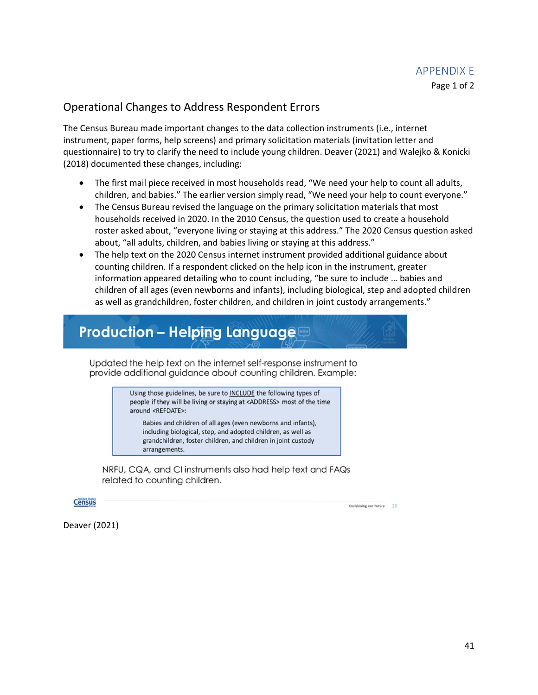## Operational Changes to Address Respondent Errors

The Census Bureau made important changes to the data collection instruments (i.e., internet instrument, paper forms, help screens) and primary solicitation materials (invitation letter and questionnaire) to try to clarify the need to include young children. Deaver (2021) and Walejko & Konicki (2018) documented these changes, including:

- The first mail piece received in most households read, "We need your help to count all adults, children, and babies." The earlier version simply read, "We need your help to count everyone."
- The Census Bureau revised the language on the primary solicitation materials that most households received in 2020. In the 2010 Census, the question used to create a household roster asked about, "everyone living or staying at this address." The 2020 Census question asked about, "all adults, children, and babies living or staying at this address."
- The help text on the 2020 Census internet instrument provided additional guidance about counting children. If a respondent clicked on the help icon in the instrument, greater information appeared detailing who to count including, "be sure to include … babies and children of all ages (even newborns and infants), including biological, step and adopted children as well as grandchildren, foster children, and children in joint custody arrangements."

# **Production - Helping Language**

Updated the help text on the internet self-response instrument to provide additional guidance about counting children. Example:

> Using those guidelines, be sure to INCLUDE the following types of people if they will be living or staying at <ADDRESS> most of the time around <REFDATE>:

Babies and children of all ages (even newborns and infants), including biological, step, and adopted children, as well as grandchildren, foster children, and children in joint custody arrangements.

NRFU, CQA, and CI instruments also had help text and FAQs related to counting children.

**Census** 

Envisioning our Future 29

Deaver (2021)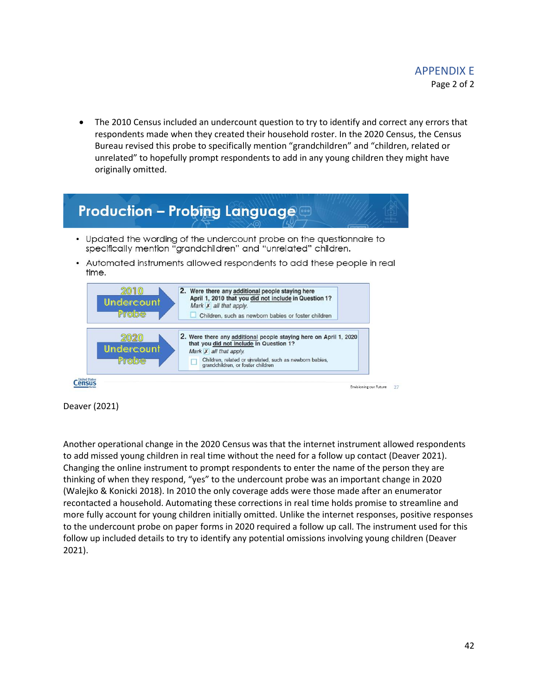• The 2010 Census included an undercount question to try to identify and correct any errors that respondents made when they created their household roster. In the 2020 Census, the Census Bureau revised this probe to specifically mention "grandchildren" and "children, related or unrelated" to hopefully prompt respondents to add in any young children they might have originally omitted.



Deaver (2021)

Another operational change in the 2020 Census was that the internet instrument allowed respondents to add missed young children in real time without the need for a follow up contact (Deaver 2021). Changing the online instrument to prompt respondents to enter the name of the person they are thinking of when they respond, "yes" to the undercount probe was an important change in 2020 (Walejko & Konicki 2018). In 2010 the only coverage adds were those made after an enumerator recontacted a household. Automating these corrections in real time holds promise to streamline and more fully account for young children initially omitted. Unlike the internet responses, positive responses to the undercount probe on paper forms in 2020 required a follow up call. The instrument used for this follow up included details to try to identify any potential omissions involving young children (Deaver 2021).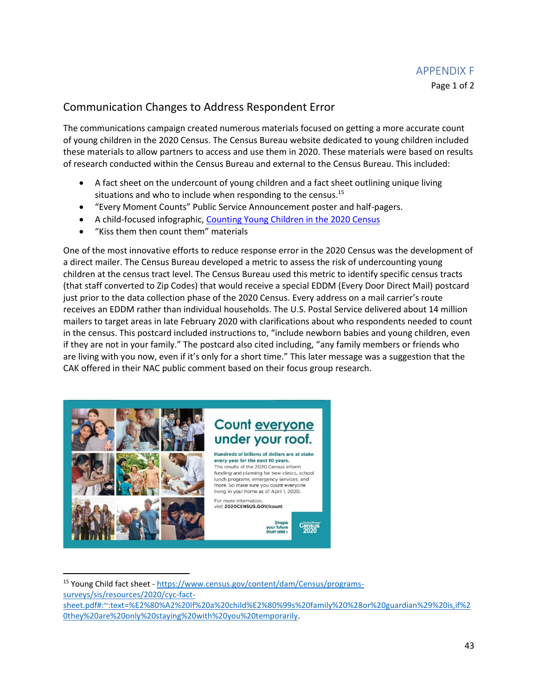# Communication Changes to Address Respondent Error

The communications campaign created numerous materials focused on getting a more accurate count of young children in the 2020 Census. The Census Bureau website dedicated to young children included these materials to allow partners to access and use them in 2020. These materials were based on results of research conducted within the Census Bureau and external to the Census Bureau. This included:

- A fact sheet on the undercount of young children and a fact sheet outlining unique living situations and who to include when responding to the census.<sup>15</sup>
- "Every Moment Counts" Public Service Announcement poster and half-pagers.
- A child-focused infographic, [Counting Young Children in the 2020 Census](https://www.census.gov/library/visualizations/2018/comm/counting-children-2020.html)
- "Kiss them then count them" materials

One of the most innovative efforts to reduce response error in the 2020 Census was the development of a direct mailer. The Census Bureau developed a metric to assess the risk of undercounting young children at the census tract level. The Census Bureau used this metric to identify specific census tracts (that staff converted to Zip Codes) that would receive a special EDDM (Every Door Direct Mail) postcard just prior to the data collection phase of the 2020 Census. Every address on a mail carrier's route receives an EDDM rather than individual households. The U.S. Postal Service delivered about 14 million mailers to target areas in late February 2020 with clarifications about who respondents needed to count in the census. This postcard included instructions to, "include newborn babies and young children, even if they are not in your family." The postcard also cited including, "any family members or friends who are living with you now, even if it's only for a short time." This later message was a suggestion that the CAK offered in their NAC public comment based on their focus group research.



<sup>15</sup> Young Child fact sheet - [https://www.census.gov/content/dam/Census/programs](https://www.census.gov/content/dam/Census/programs-surveys/sis/resources/2020/cyc-fact-sheet.pdf#:~:text=%E2%80%A2%20If%20a%20child%E2%80%99s%20family%20%28or%20guardian%29%20is,if%20they%20are%20only%20staying%20with%20you%20temporarily)[surveys/sis/resources/2020/cyc-fact-](https://www.census.gov/content/dam/Census/programs-surveys/sis/resources/2020/cyc-fact-sheet.pdf#:~:text=%E2%80%A2%20If%20a%20child%E2%80%99s%20family%20%28or%20guardian%29%20is,if%20they%20are%20only%20staying%20with%20you%20temporarily)

[sheet.pdf#:~:text=%E2%80%A2%20If%20a%20child%E2%80%99s%20family%20%28or%20guardian%29%20is,if%2](https://www.census.gov/content/dam/Census/programs-surveys/sis/resources/2020/cyc-fact-sheet.pdf#:~:text=%E2%80%A2%20If%20a%20child%E2%80%99s%20family%20%28or%20guardian%29%20is,if%20they%20are%20only%20staying%20with%20you%20temporarily) [0they%20are%20only%20staying%20with%20you%20temporarily.](https://www.census.gov/content/dam/Census/programs-surveys/sis/resources/2020/cyc-fact-sheet.pdf#:~:text=%E2%80%A2%20If%20a%20child%E2%80%99s%20family%20%28or%20guardian%29%20is,if%20they%20are%20only%20staying%20with%20you%20temporarily)